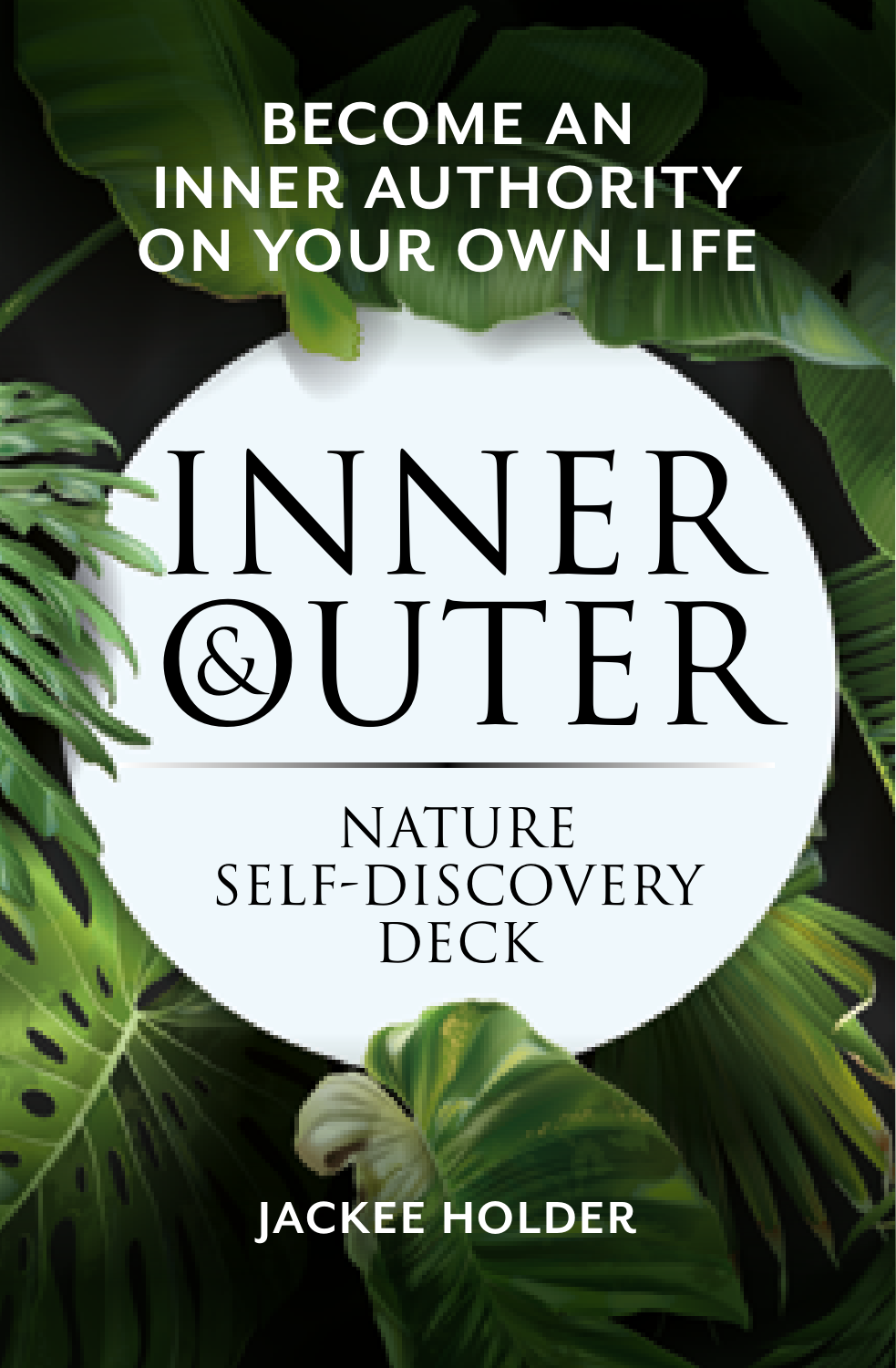#### **BECOME AN INNER AUTHORITY ON YOUR OWN LIFE**

# INNER<sup>®</sup> **QUITER**

#### **NATURE** self-Discovery **DECK**

**JACKEE HOLDER**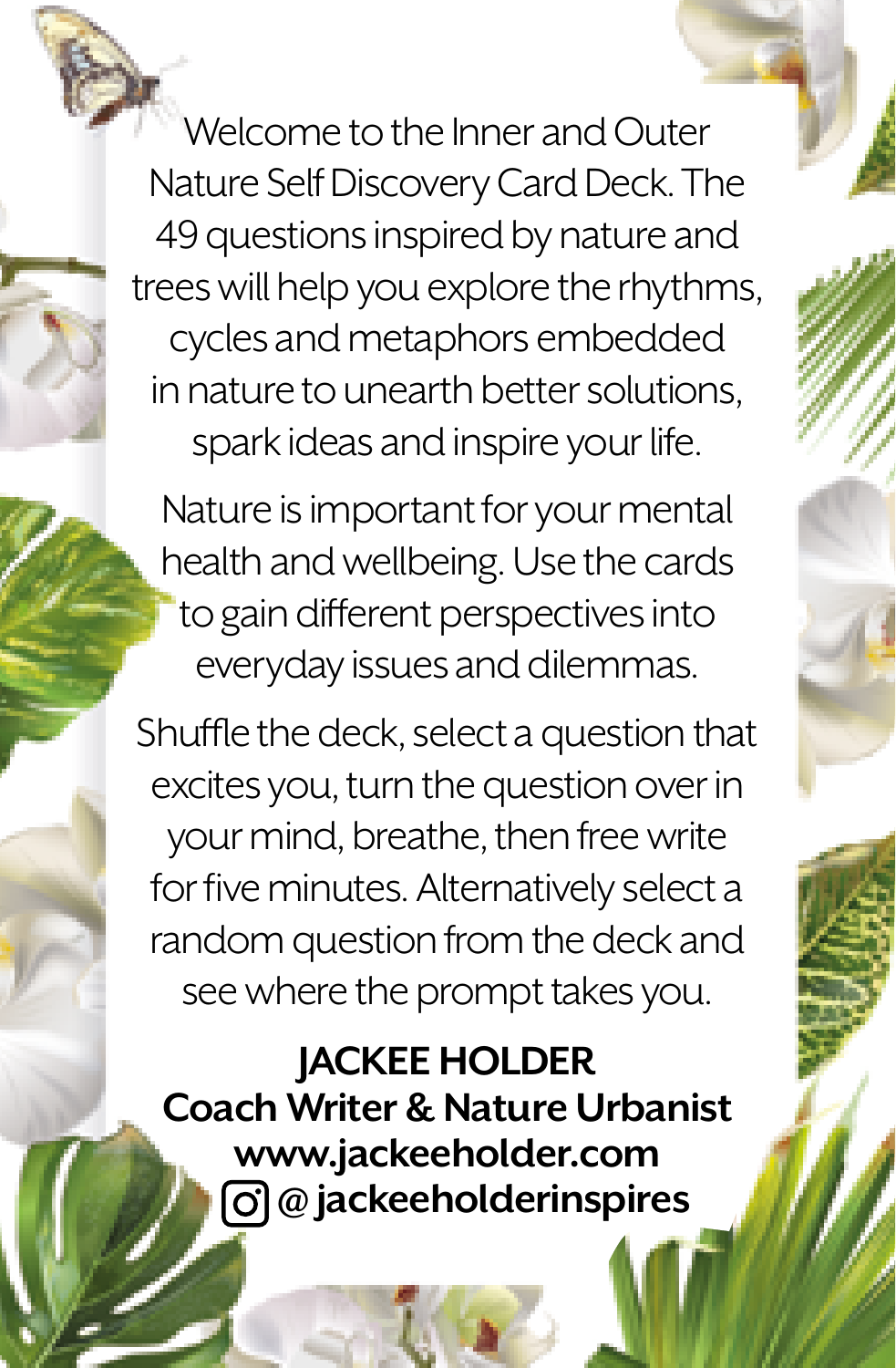

Welcome to the Inner and Outer Nature Self Discovery Card Deck. The 49 questions inspired by nature and trees will help you explore the rhythms, cycles and metaphors embedded in nature to unearth better solutions, spark ideas and inspire your life.

Nature is important for your mental health and wellbeing. Use the cards to gain different perspectives into everyday issues and dilemmas.

Shuffle the deck, select a question that excites you, turn the question over in your mind, breathe, then free write for five minutes. Alternatively select a random question from the deck and see where the prompt takes you.

#### **JACKEE HOLDER**

**Coach Writer & Nature Urbanist www.jackeeholder.com @ jackeeholderinspires**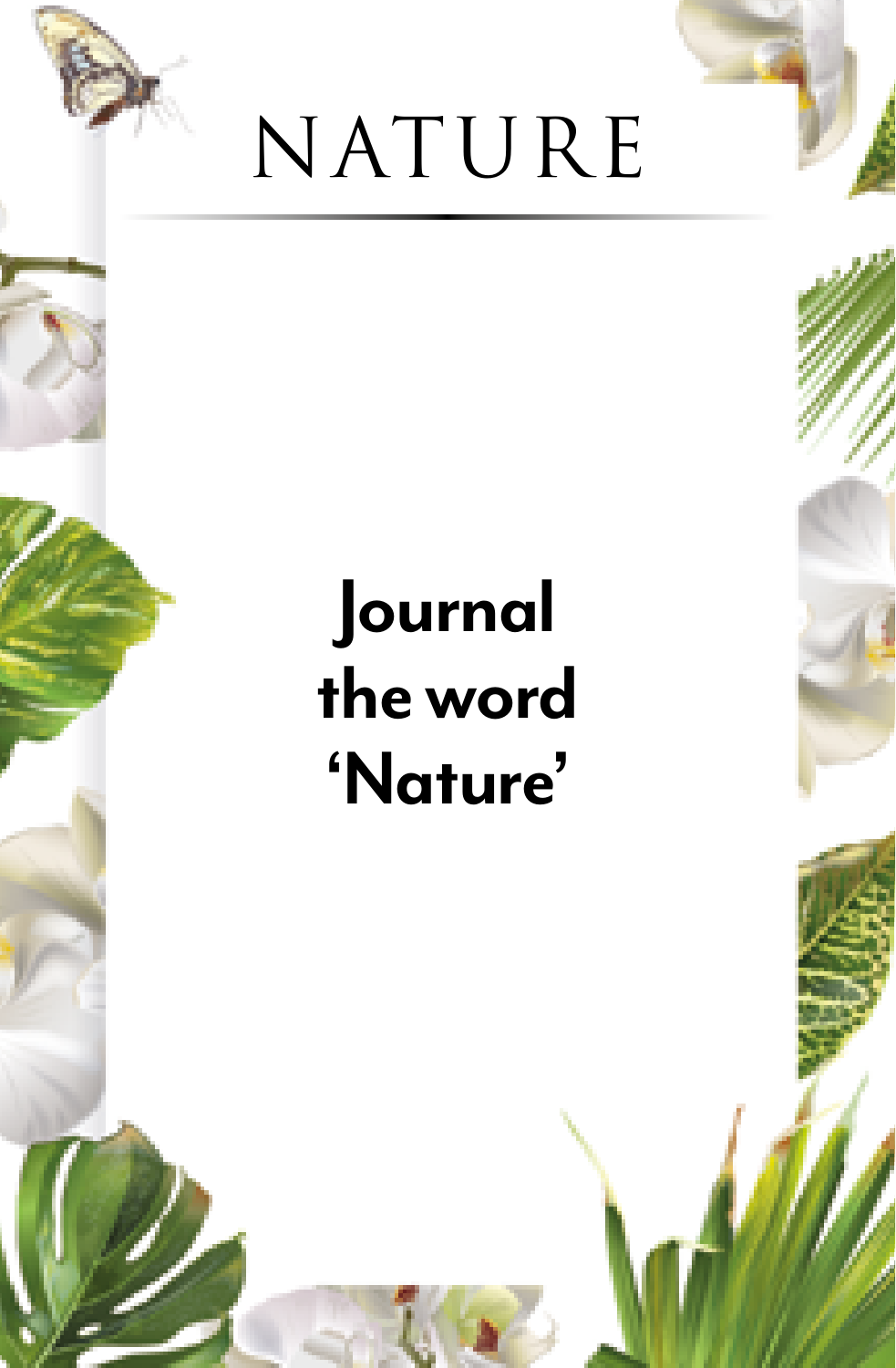

#### **Journal the word 'Nature'**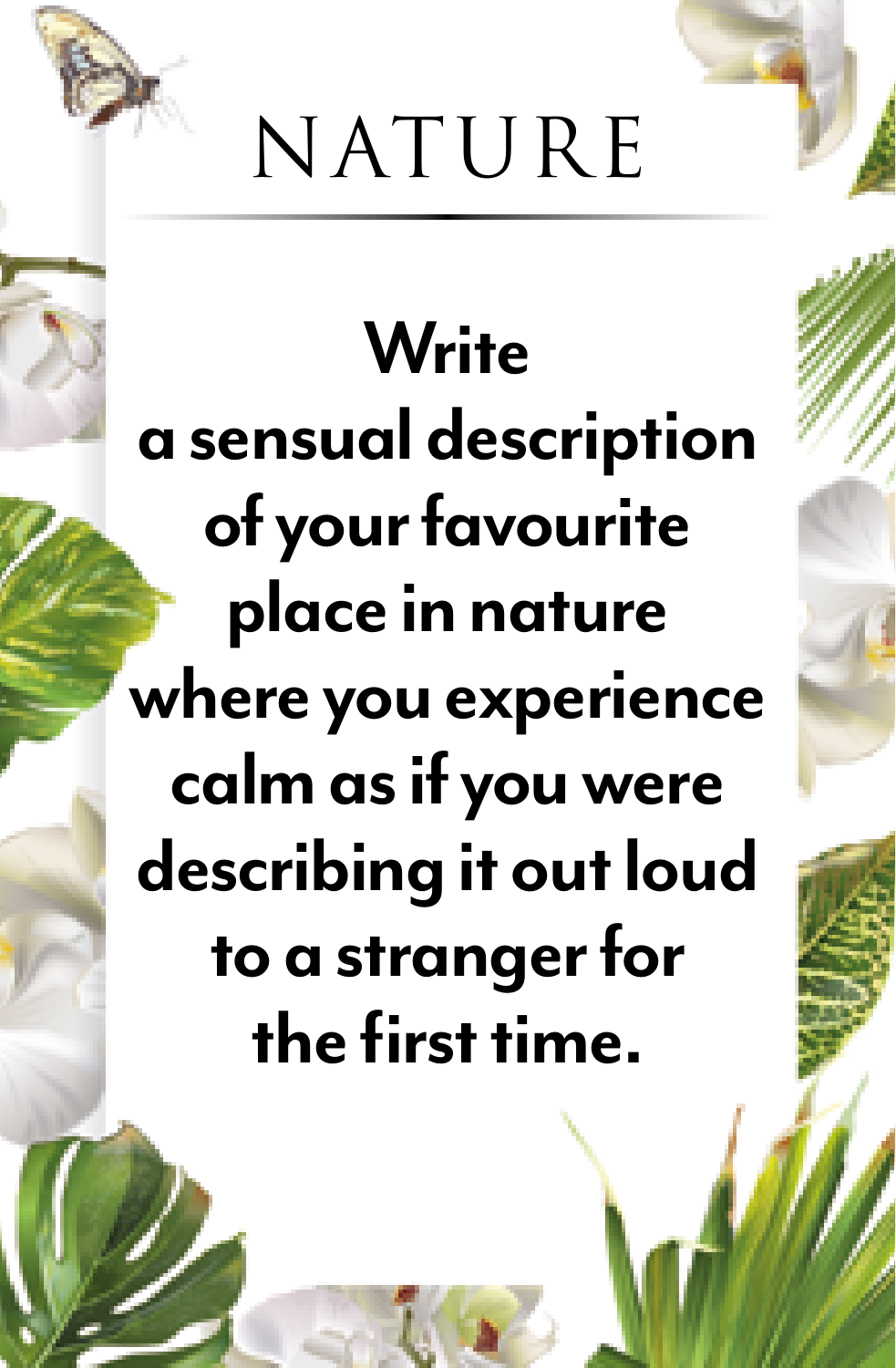

# **Write a sensual description of your favourite place in nature where you experience calm as if you were describing it out loud to a stranger for the first time.**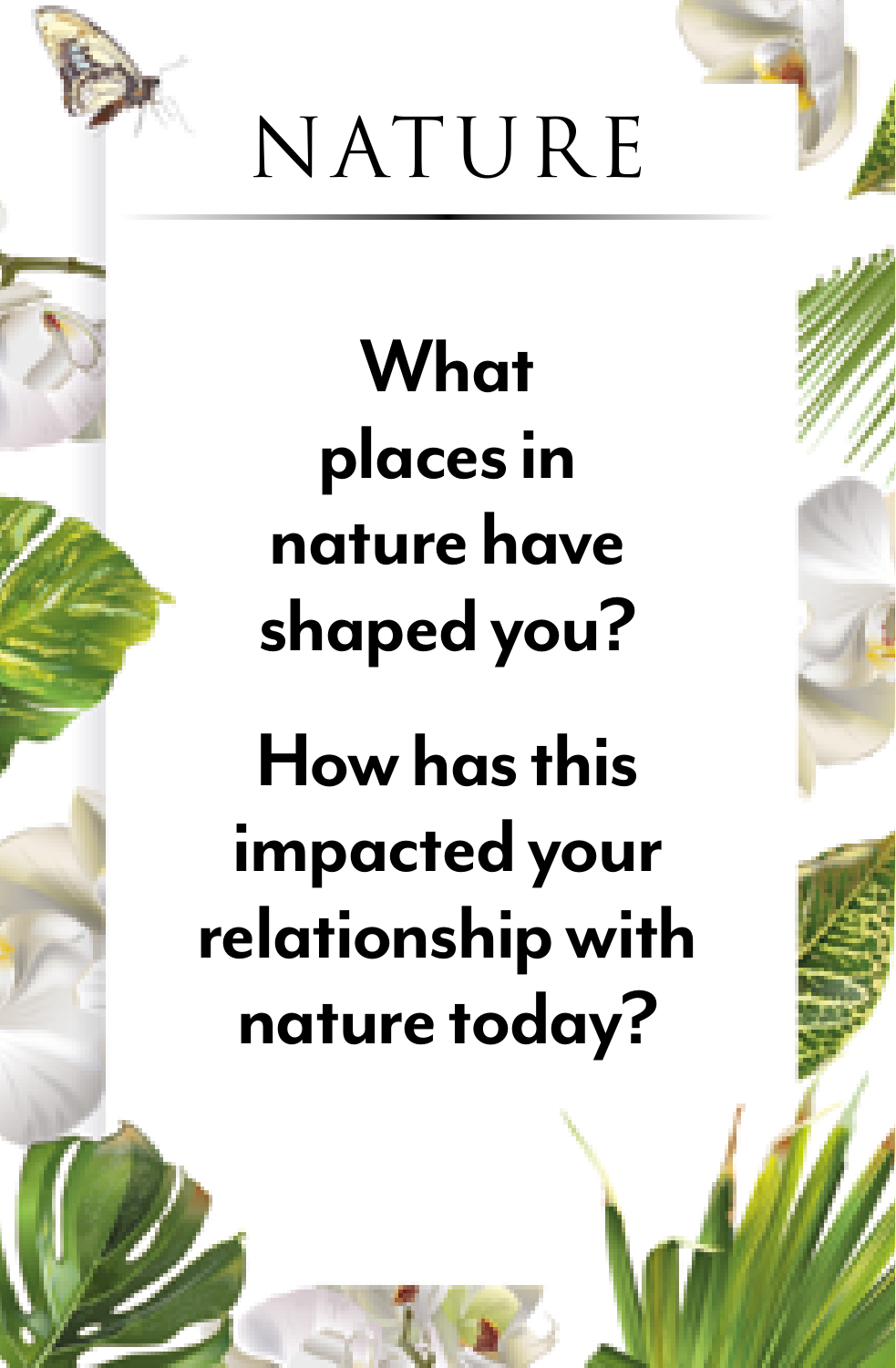

**What places in nature have shaped you?** 

**How has this impacted your relationship with nature today?**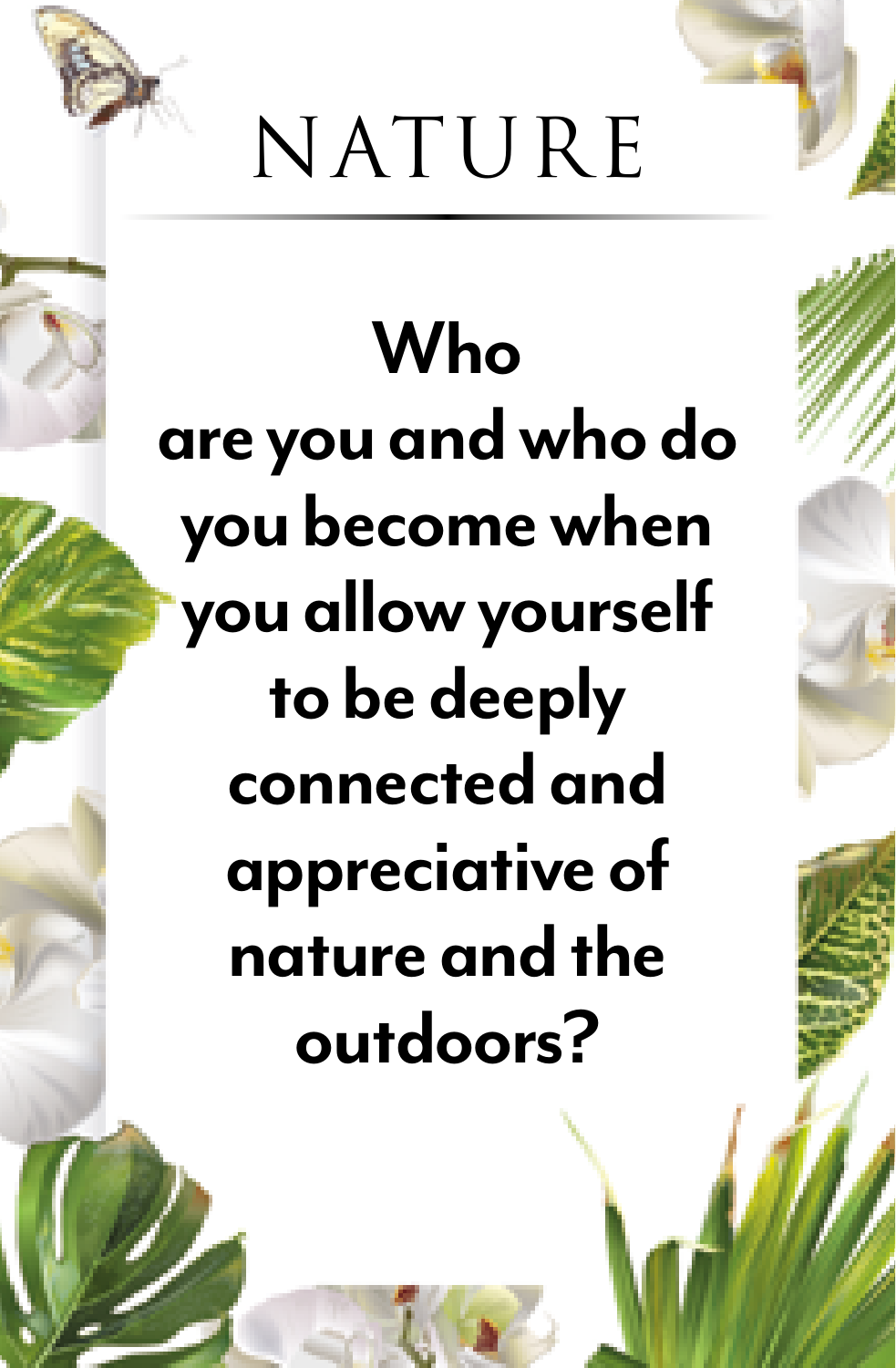

# **Who are you and who do you become when you allow yourself to be deeply connected and appreciative of nature and the outdoors?**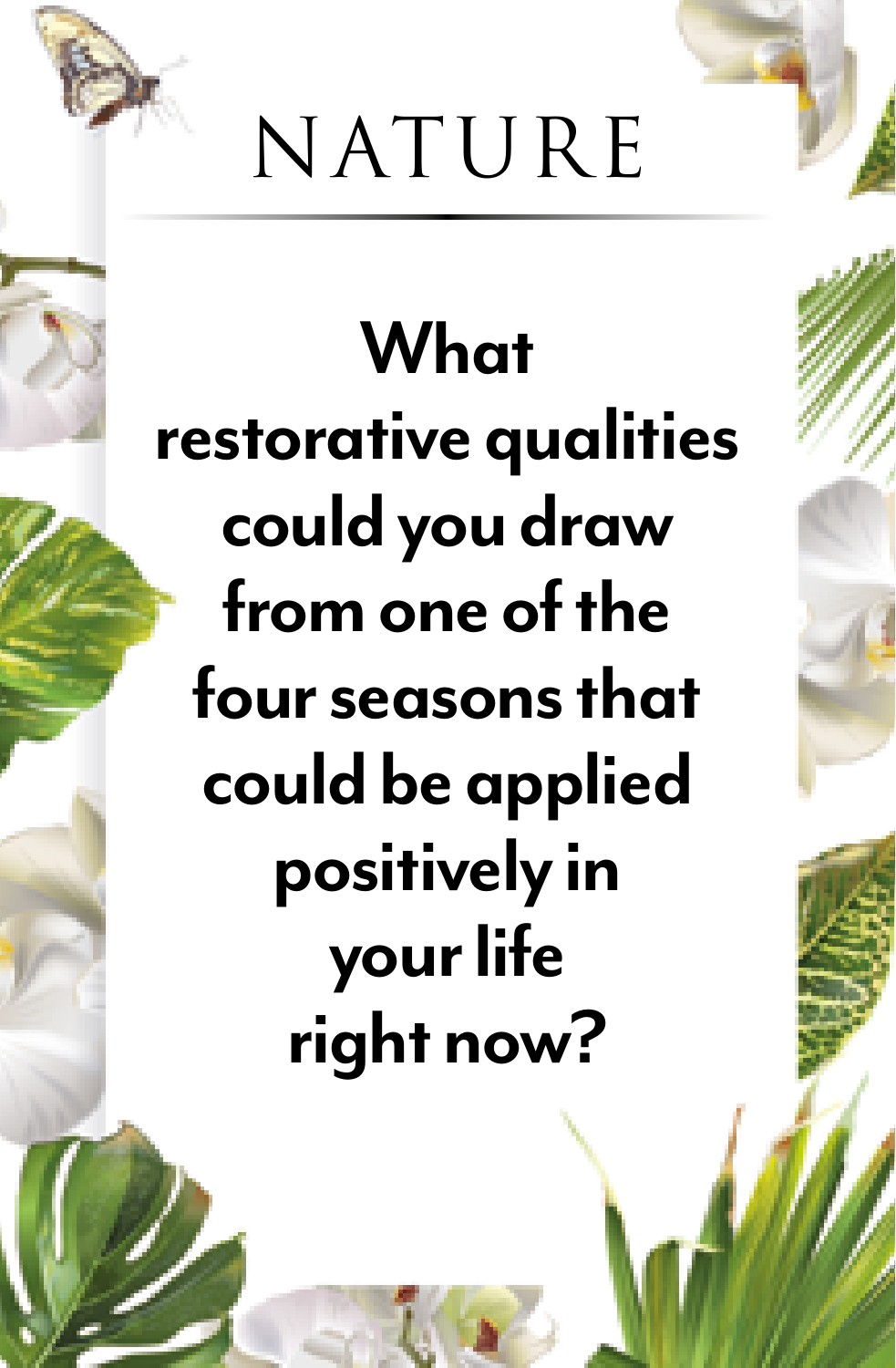

# **What restorative qualities could you draw from one of the four seasons that could be applied positively in your life right now?**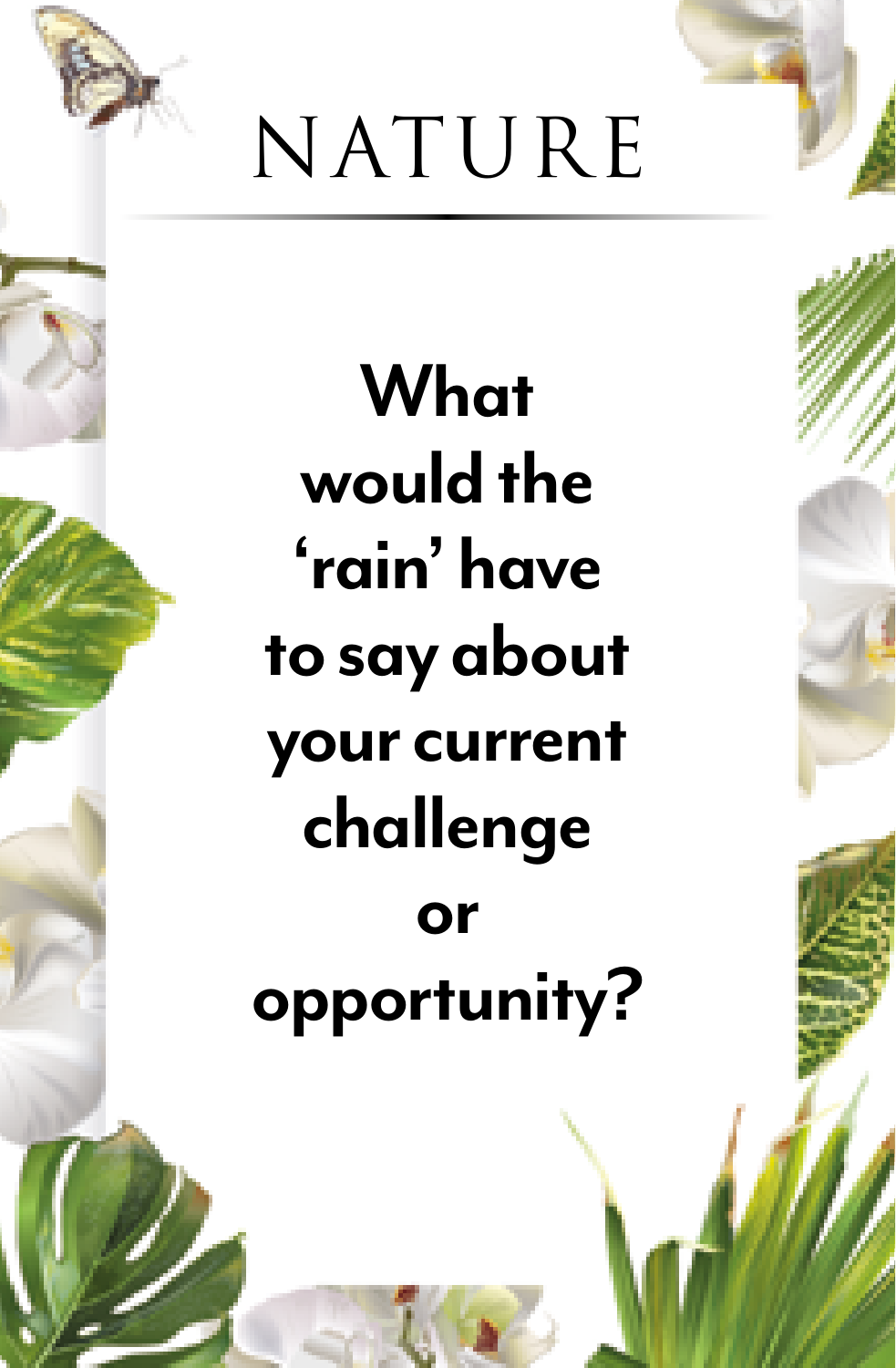

**What would the 'rain' have to say about your current challenge or opportunity?**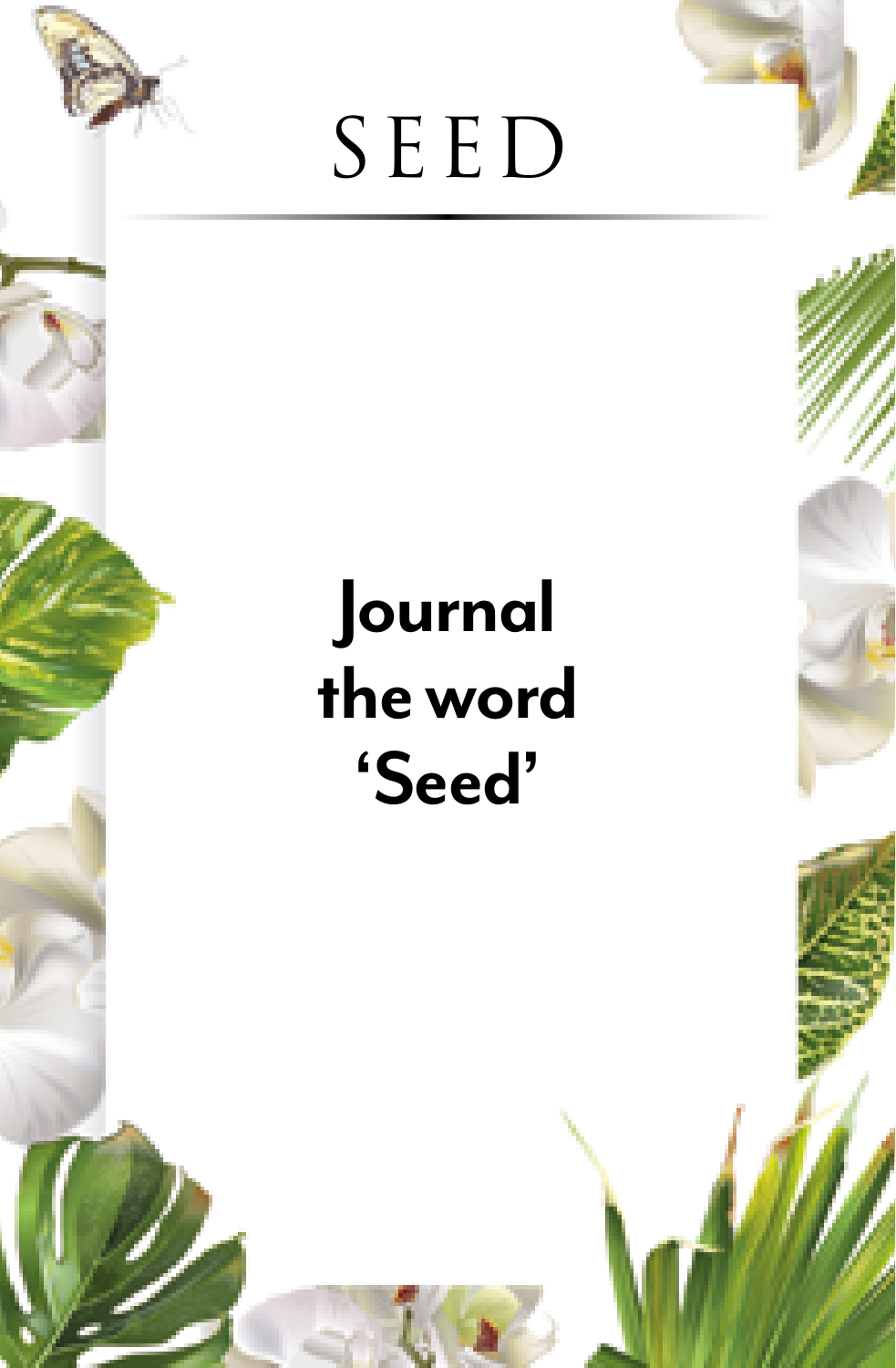

#### **Journal the word 'Seed'**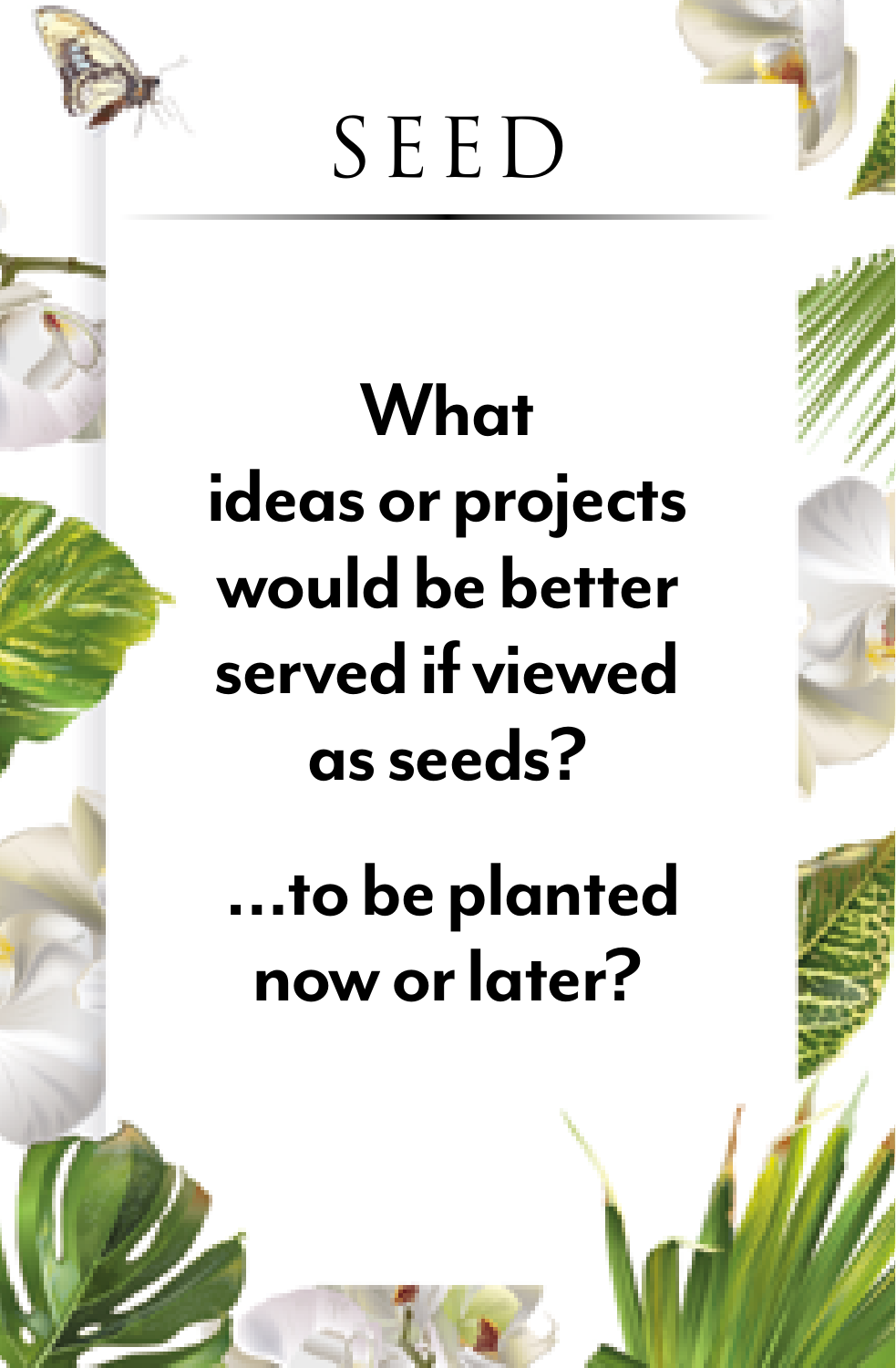

#### **What ideas or projects would be better served if viewed as seeds?**

 **…to be planted now or later?**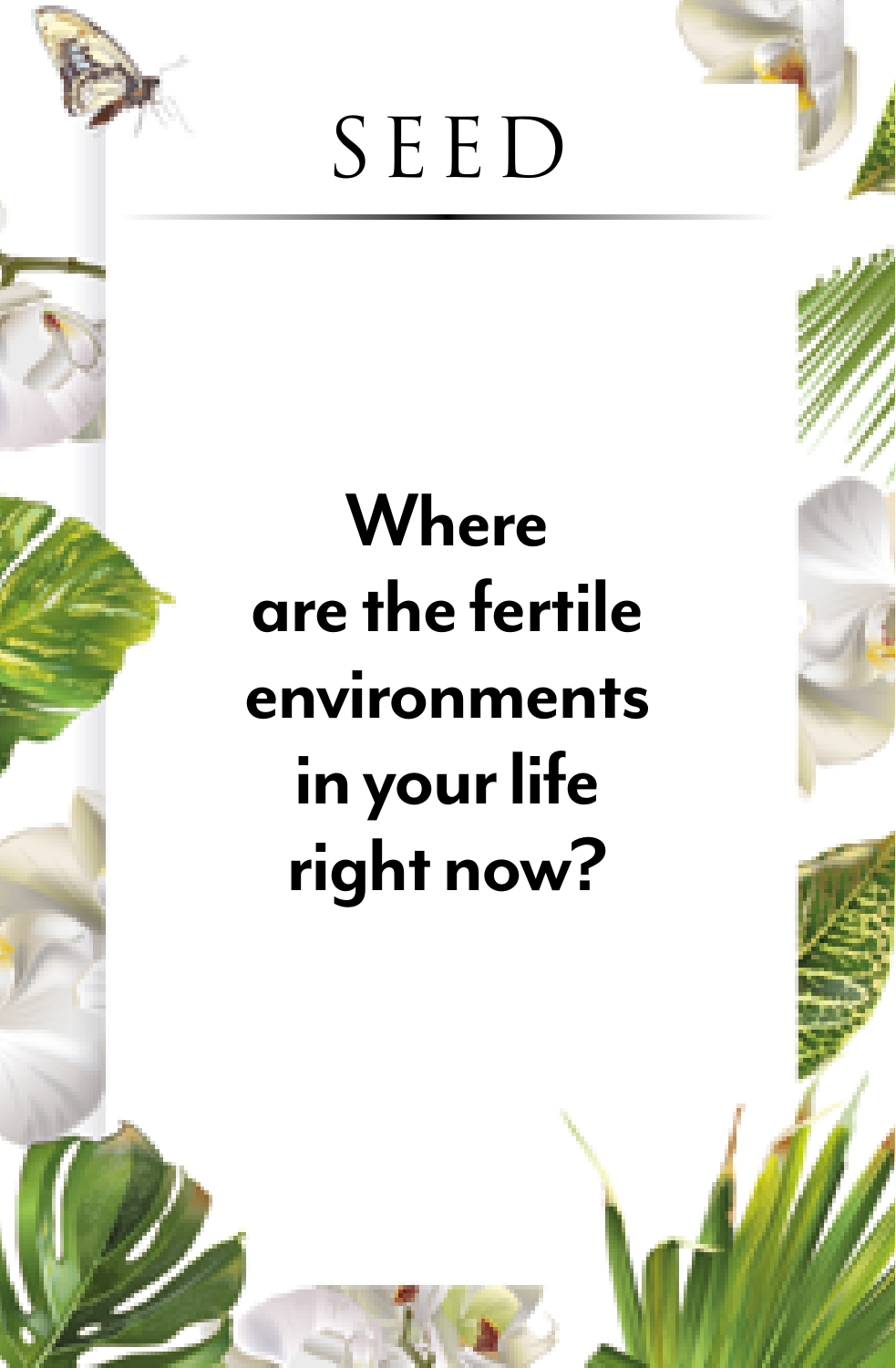

#### **Where are the fertile environments in your life right now?**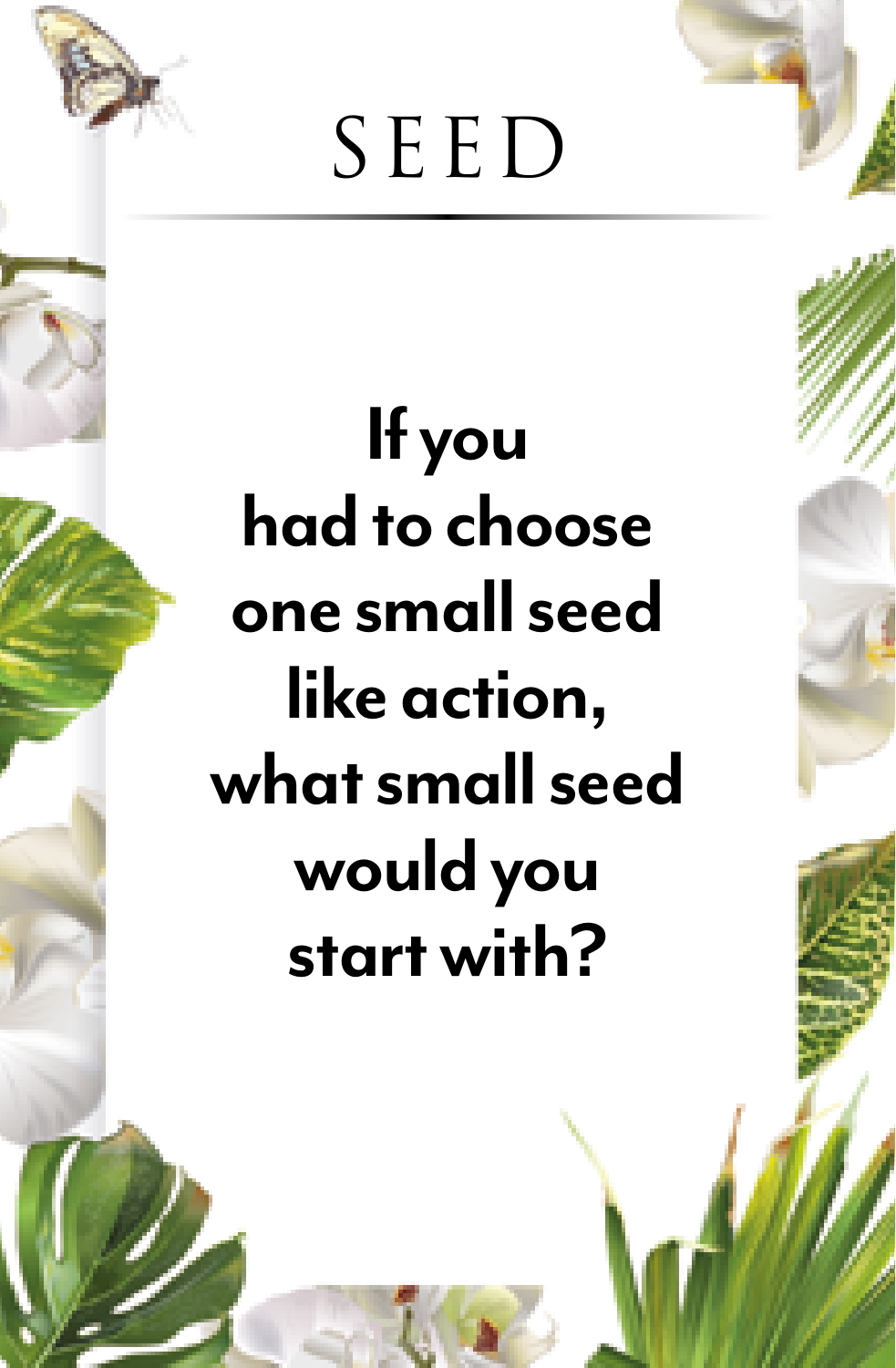

## **If you had to choose one small seed like action, what small seed would you start with?**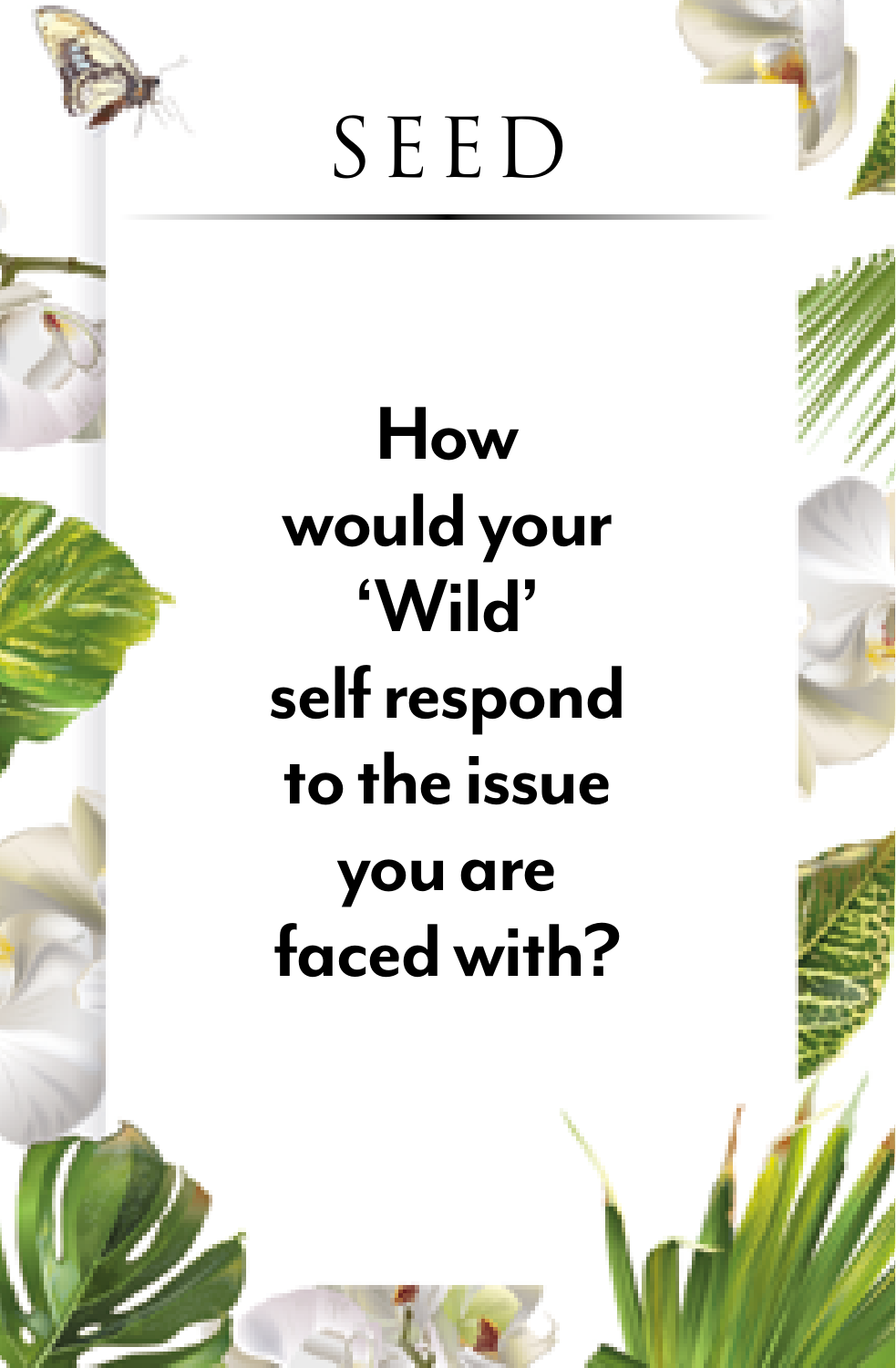

#### **How would your 'Wild' self respond to the issue you are faced with?**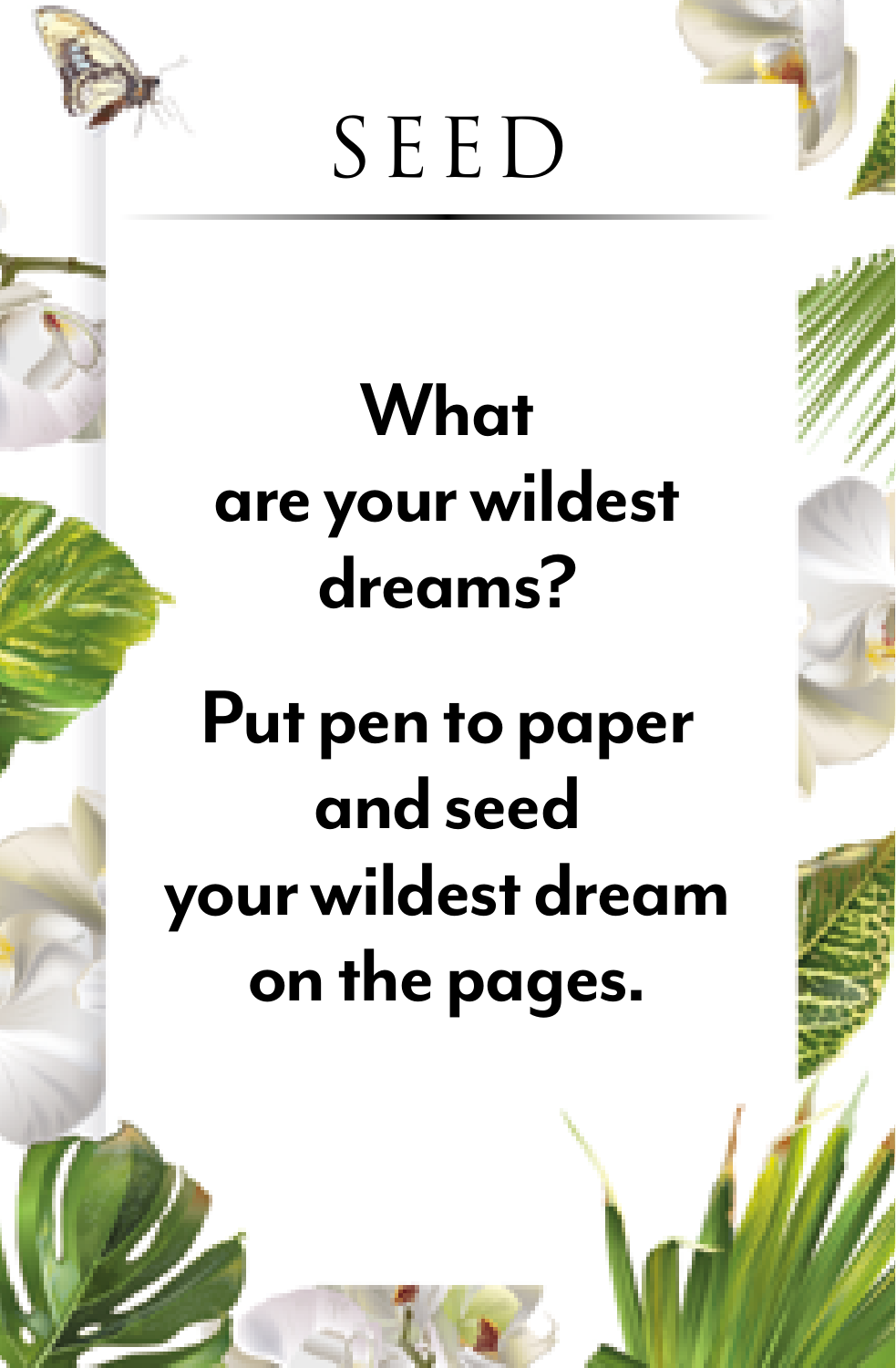

#### **What are your wildest dreams?**

#### **Put pen to paper and seed your wildest dream on the pages.**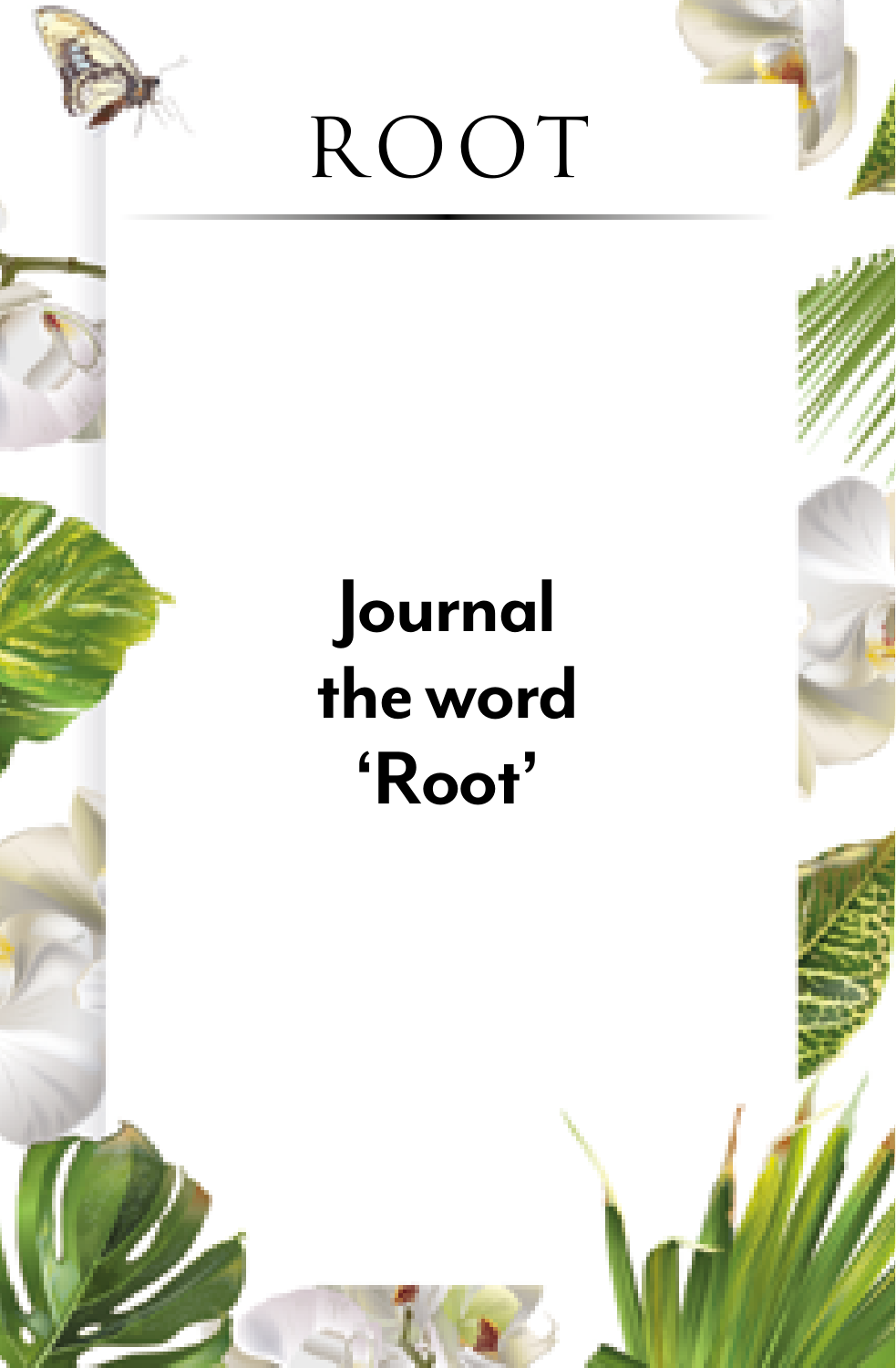

#### **Journal the word 'Root'**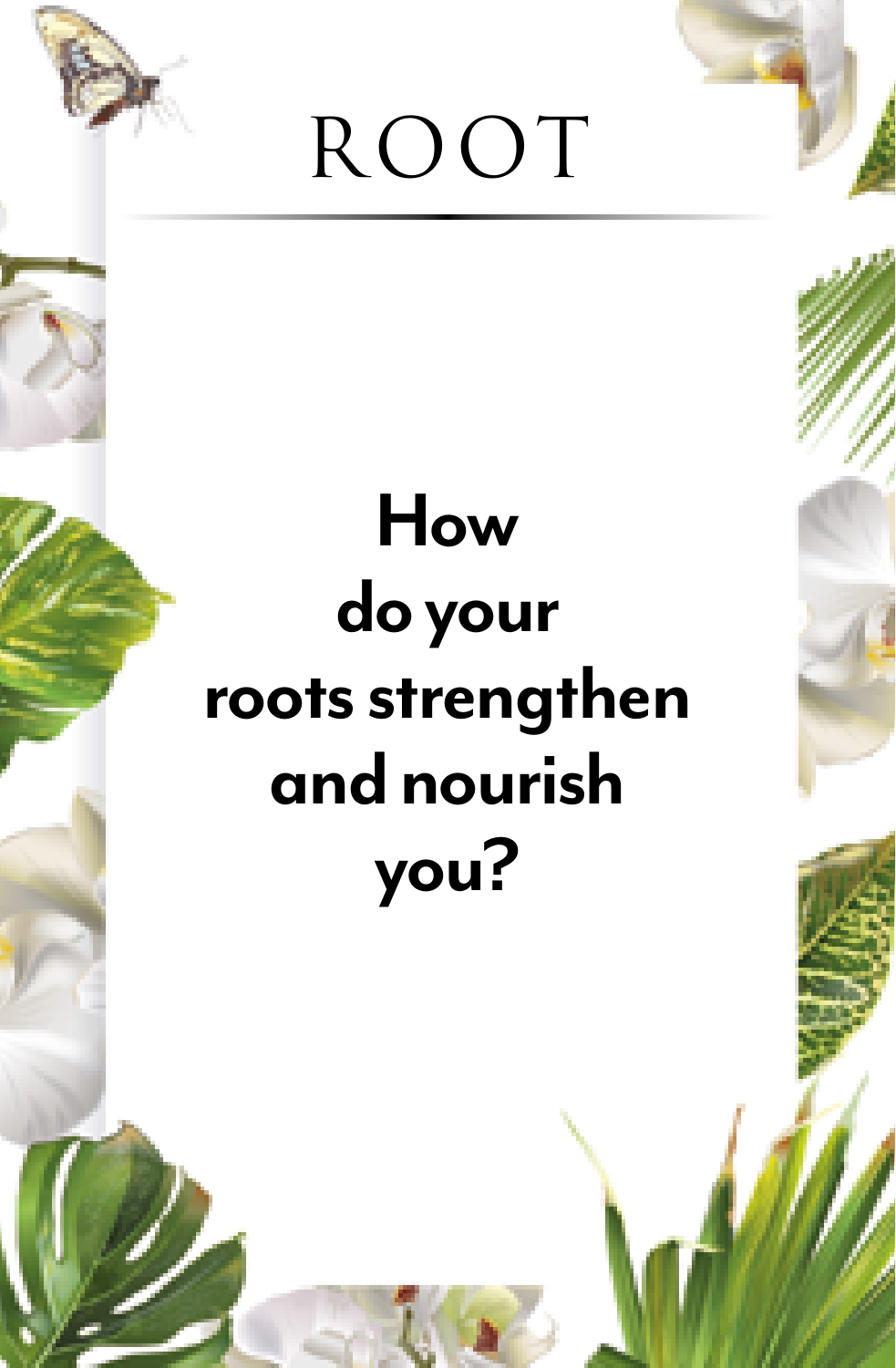

#### **How do your roots strengthen and nourish you?**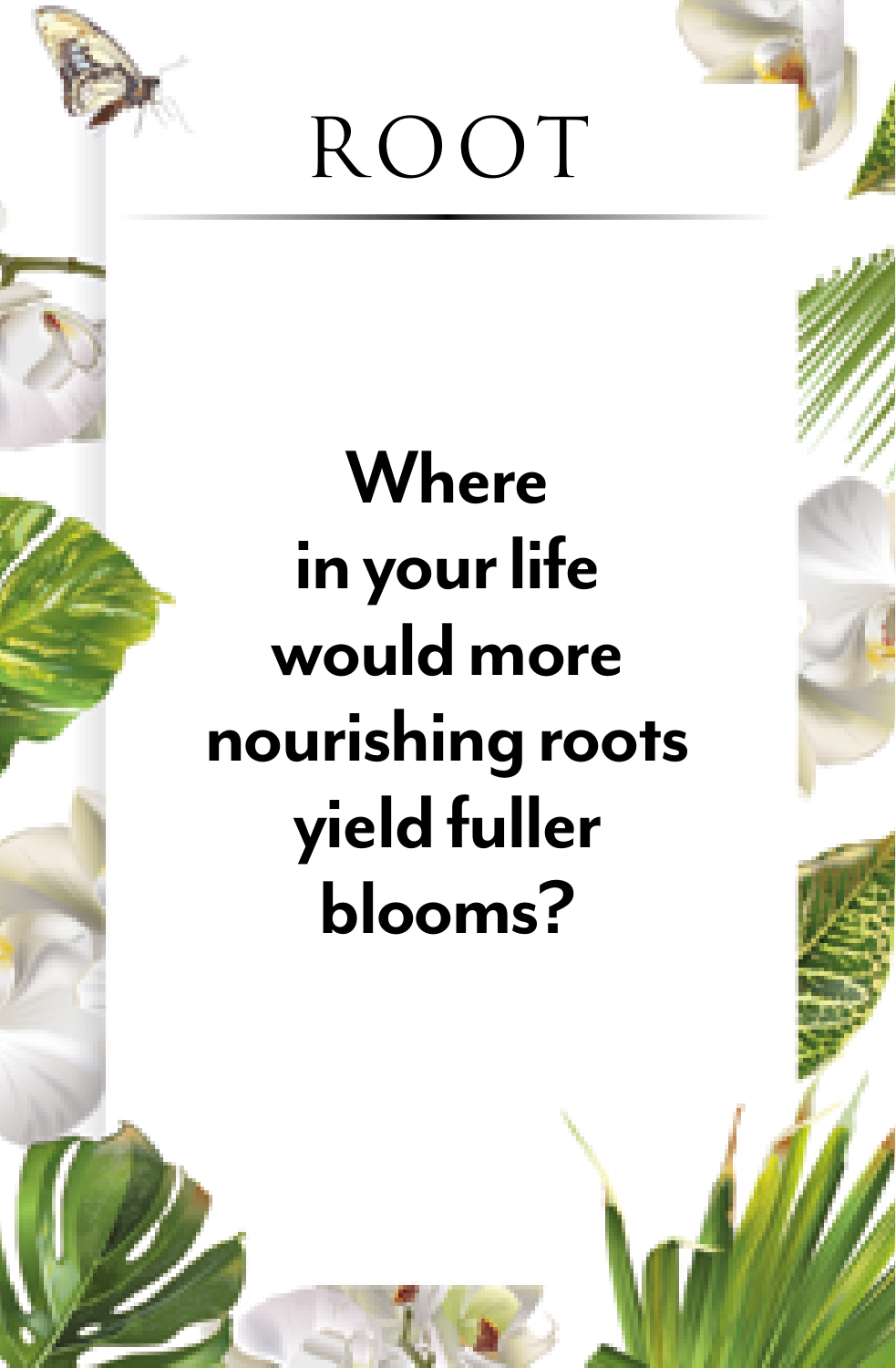

#### **Where in your life would more nourishing roots yield fuller blooms?**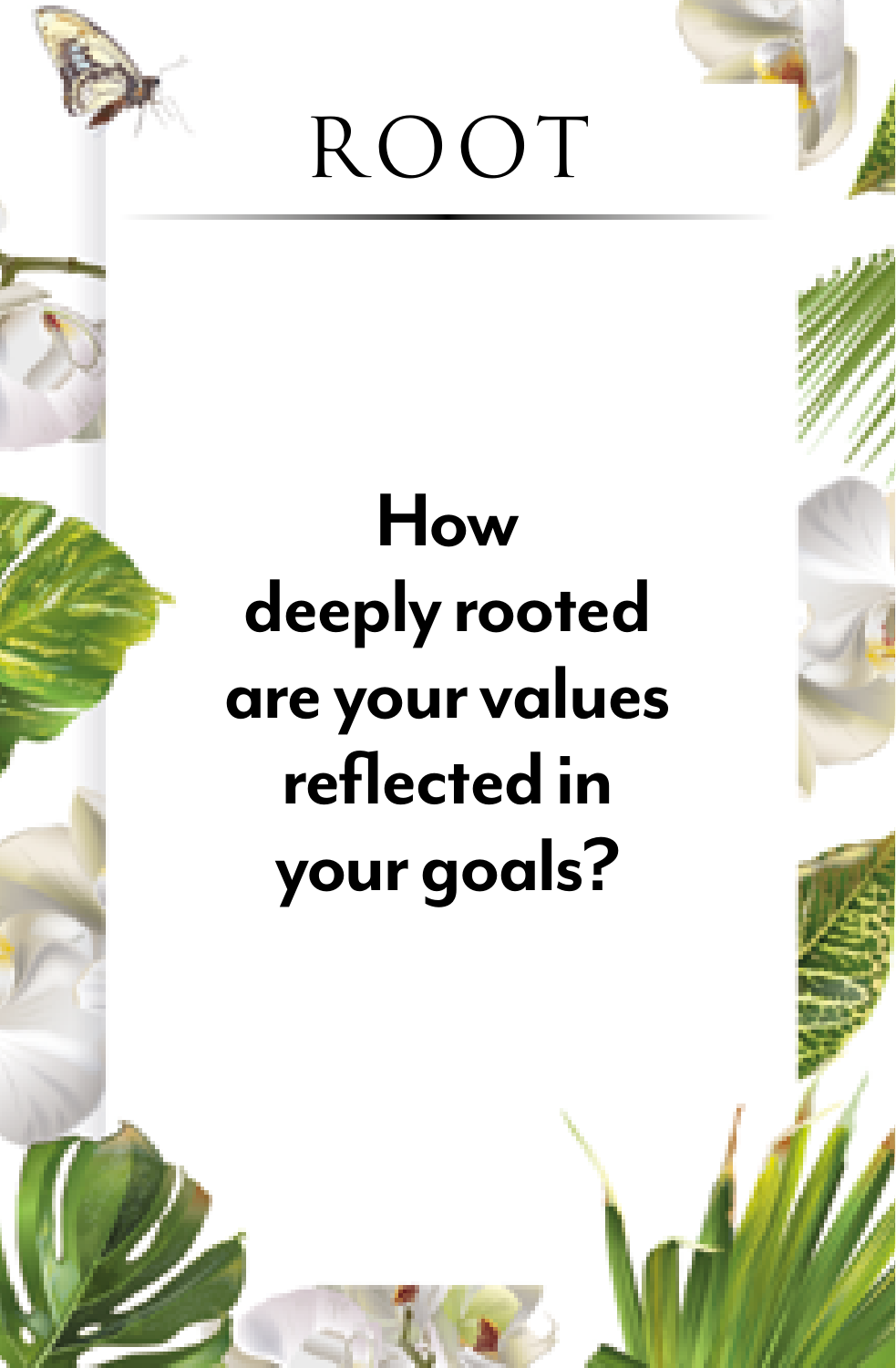

## **How deeply rooted are your values reflected in your goals?**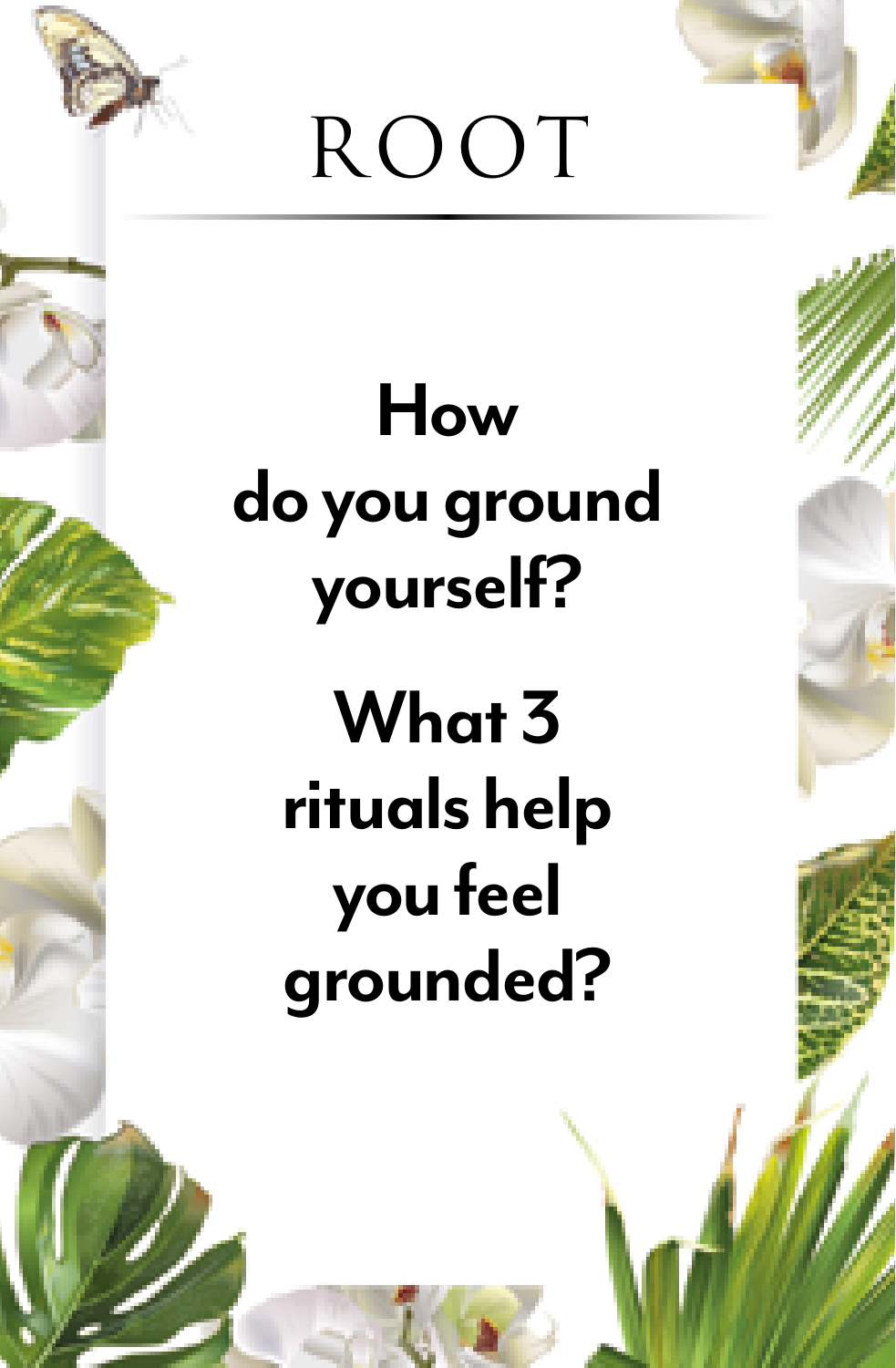#### **How do you ground yourself?**

#### **What 3 rituals help you feel grounded?**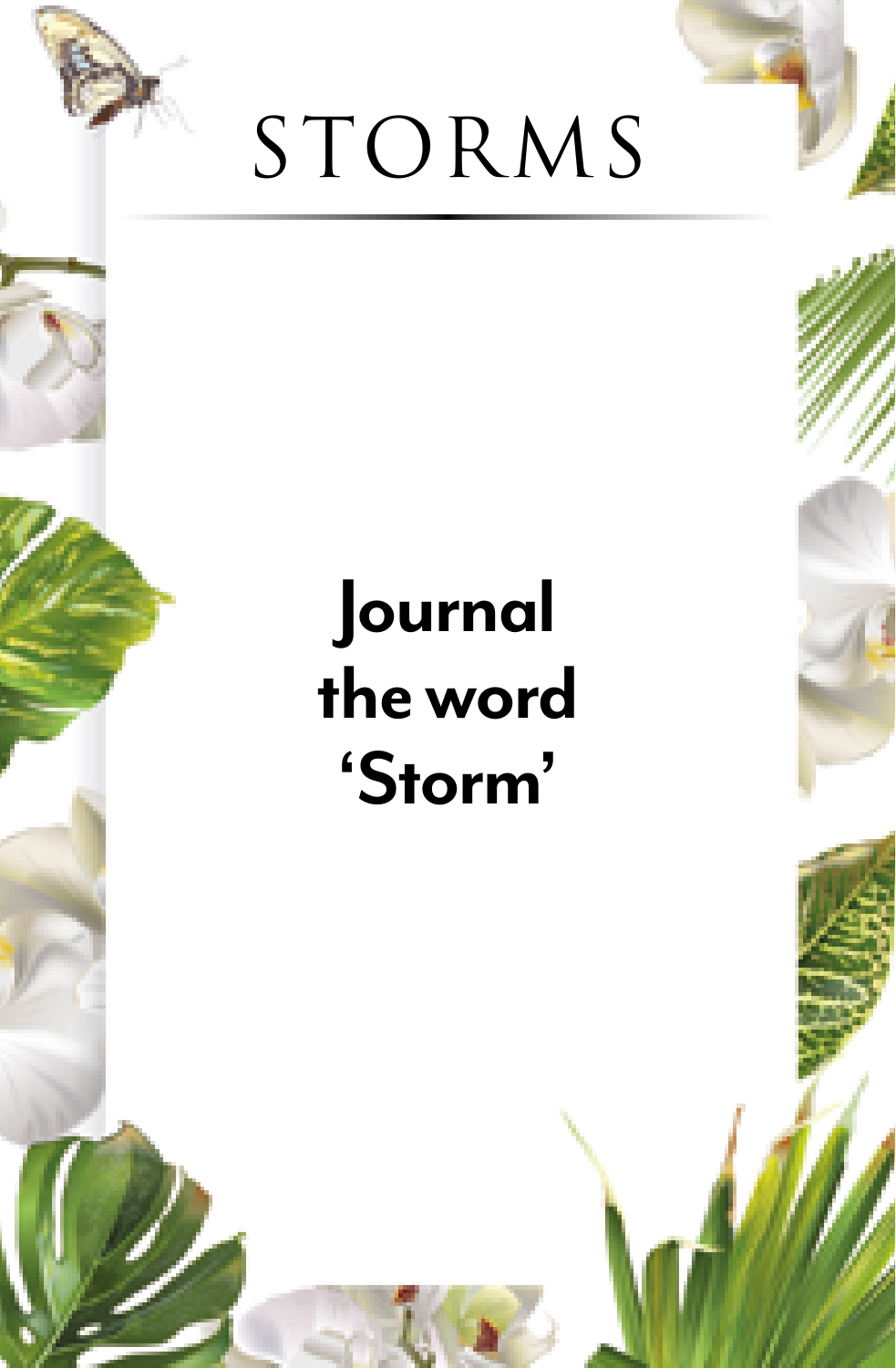

#### **Journal the word 'Storm'**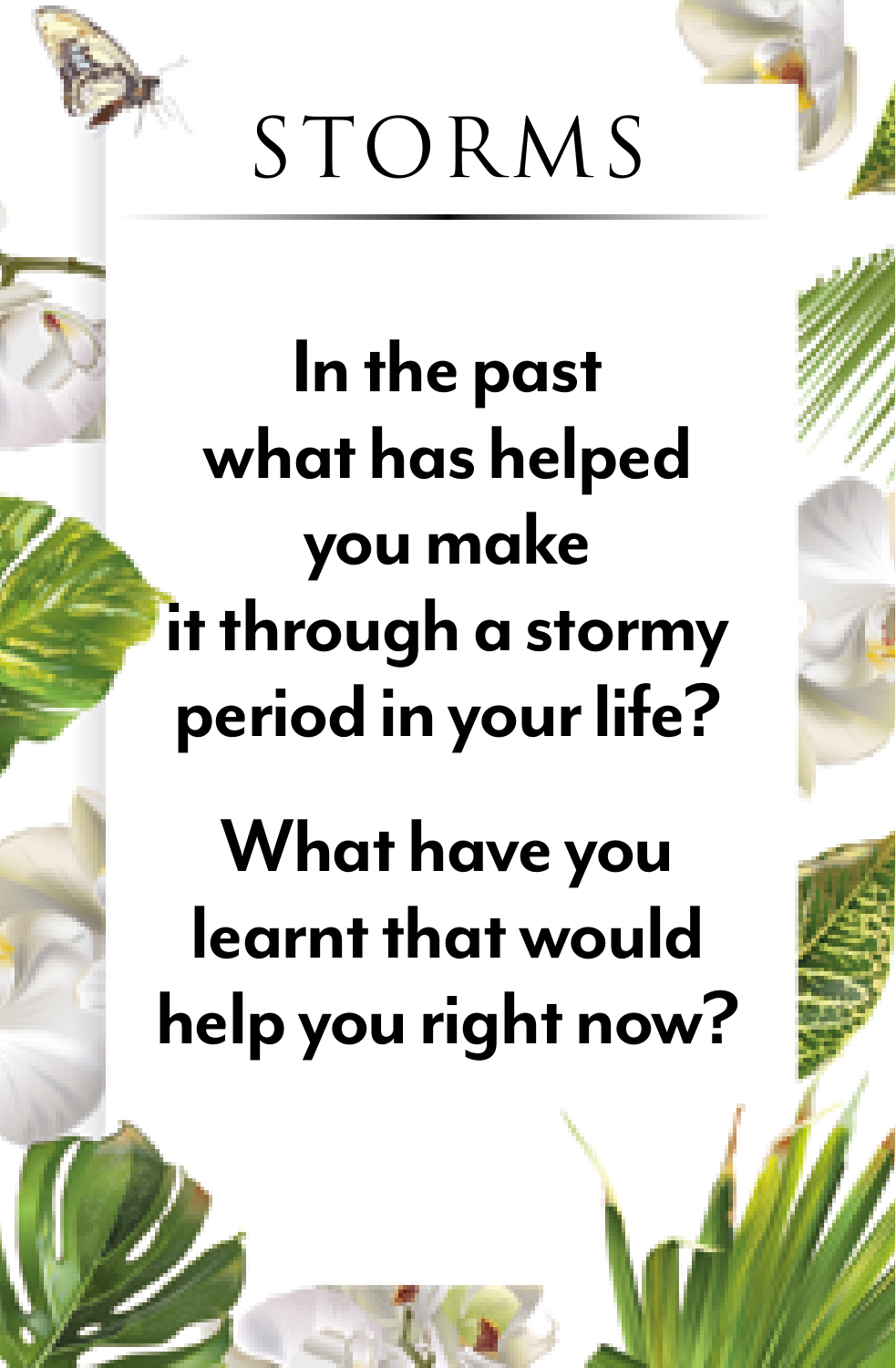

**In the past what has helped you make it through a stormy period in your life?**

**What have you learnt that would help you right now?**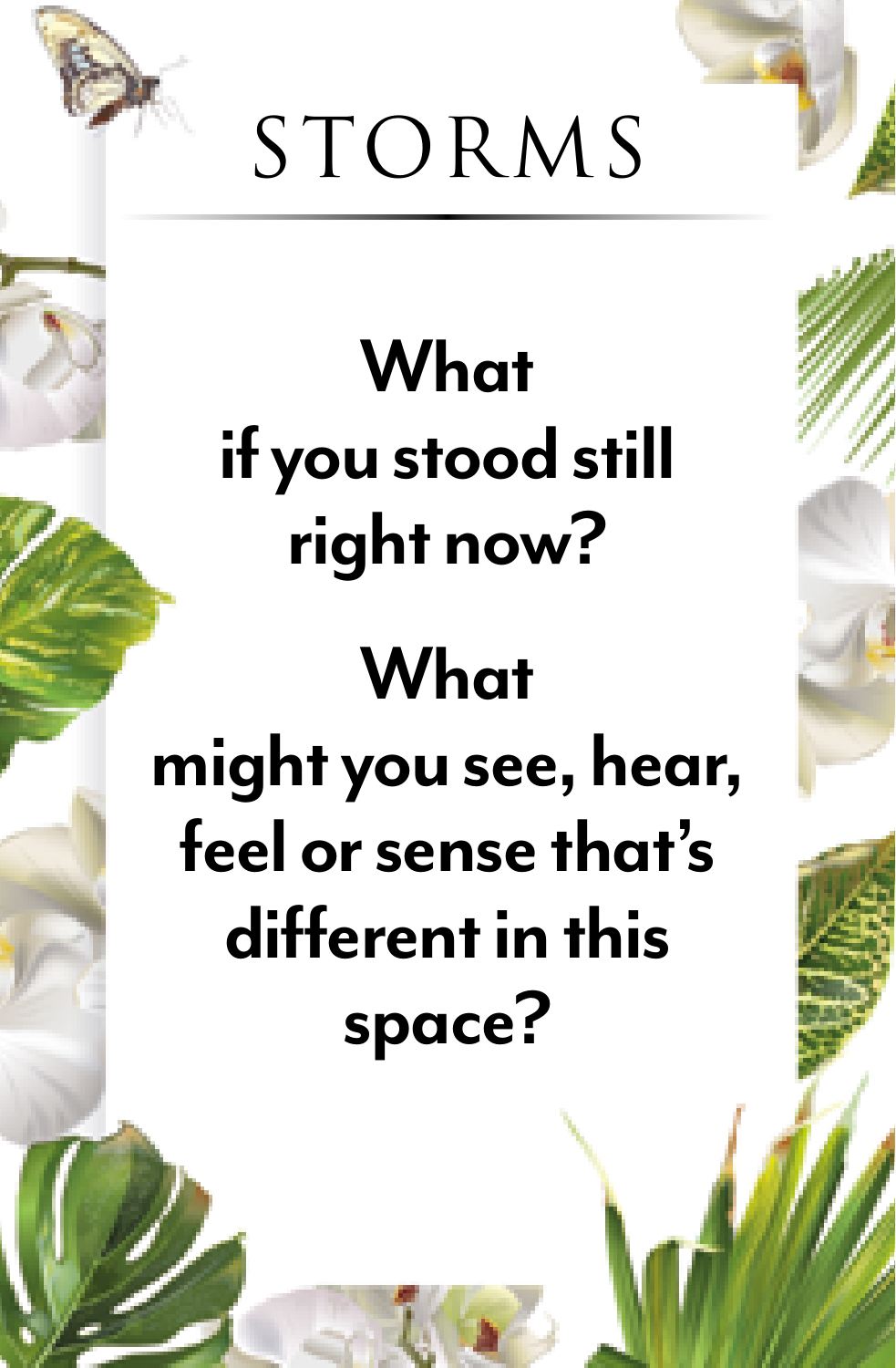

#### **What if you stood still right now?**

#### **What**

#### **might you see, hear, feel or sense that's different in this space?**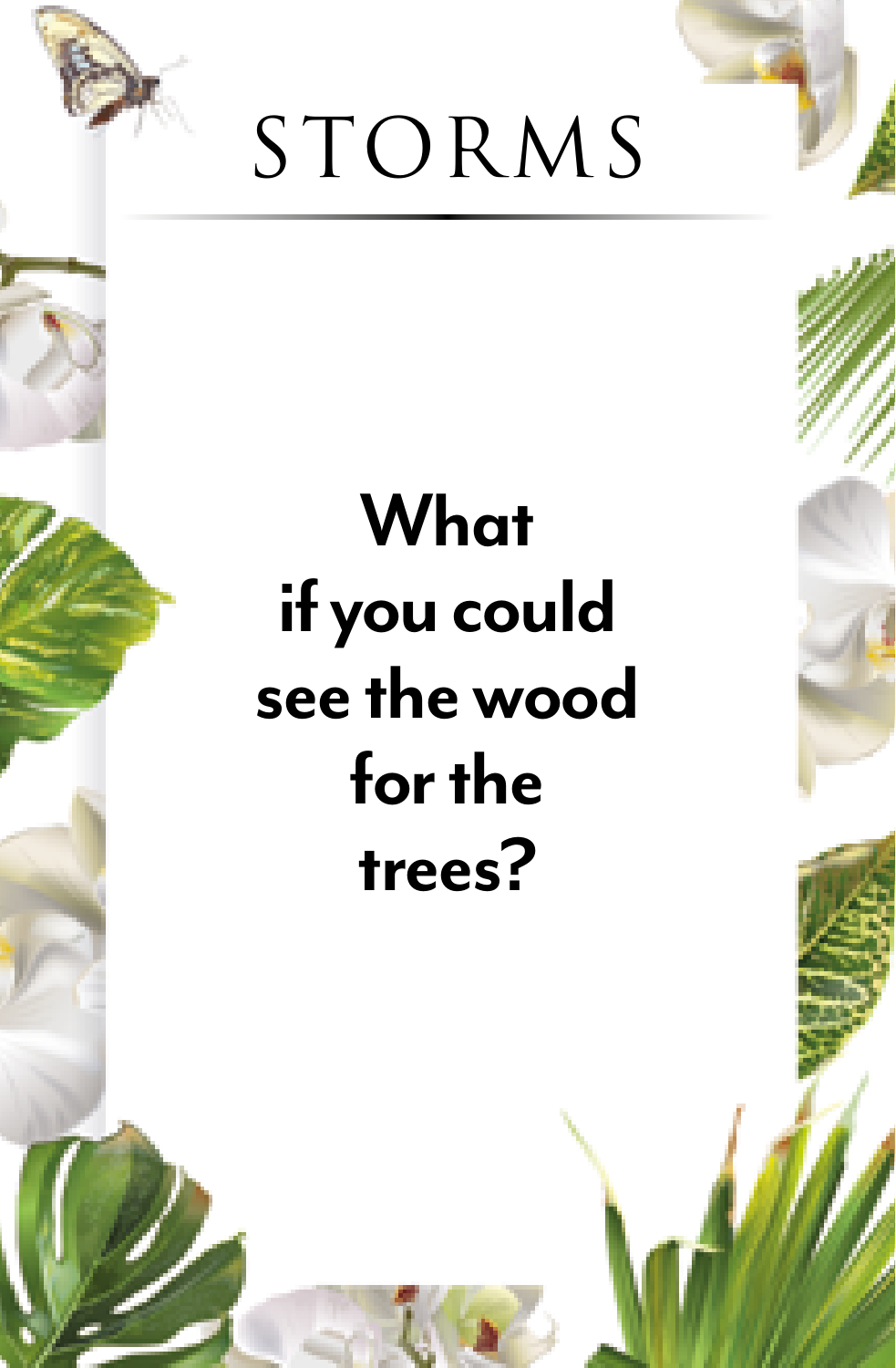

#### **What if you could see the wood for the trees?**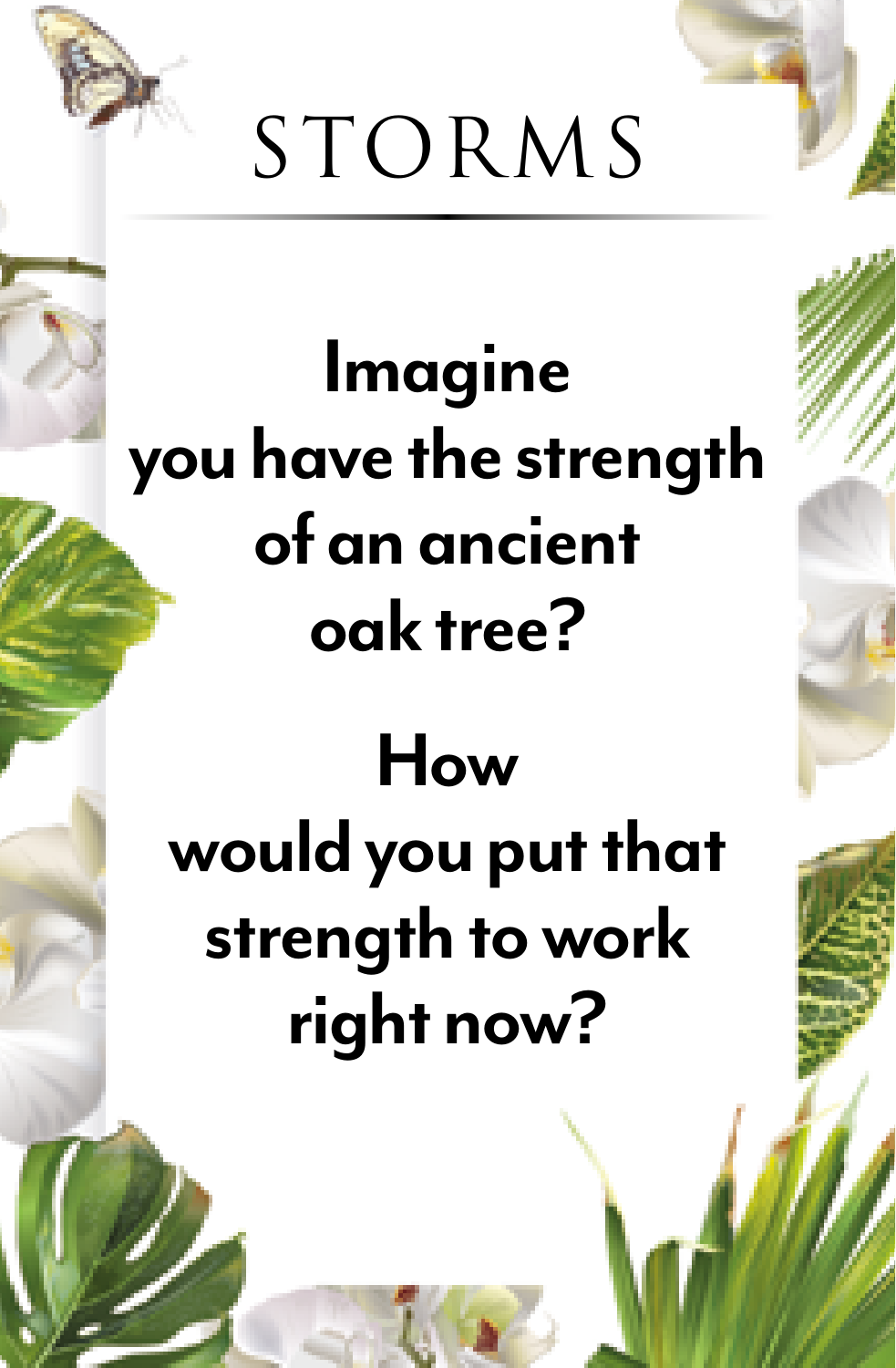

**Imagine you have the strength of an ancient oak tree?** 

# **How would you put that strength to work right now?**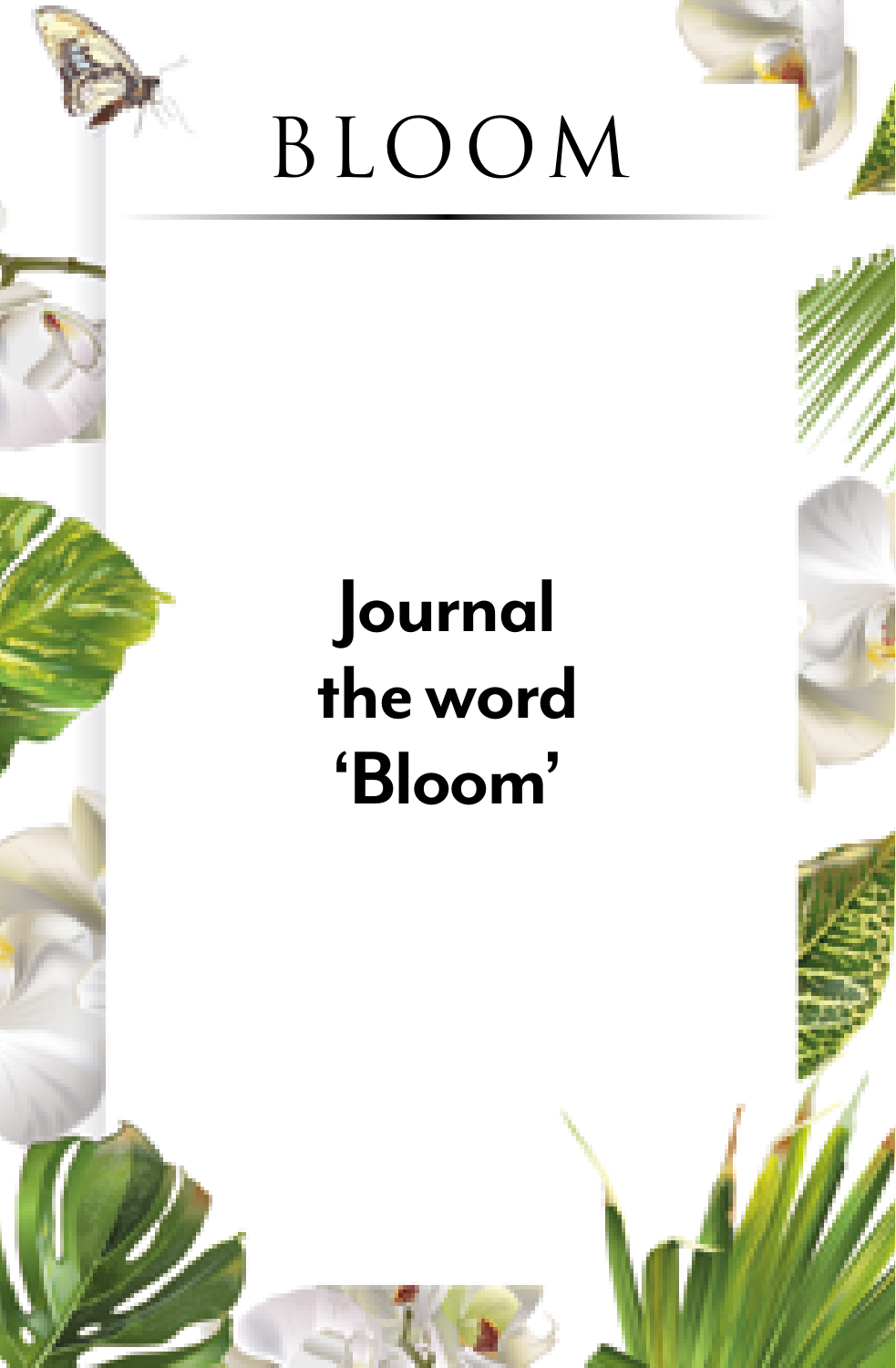

#### **Journal the word 'Bloom'**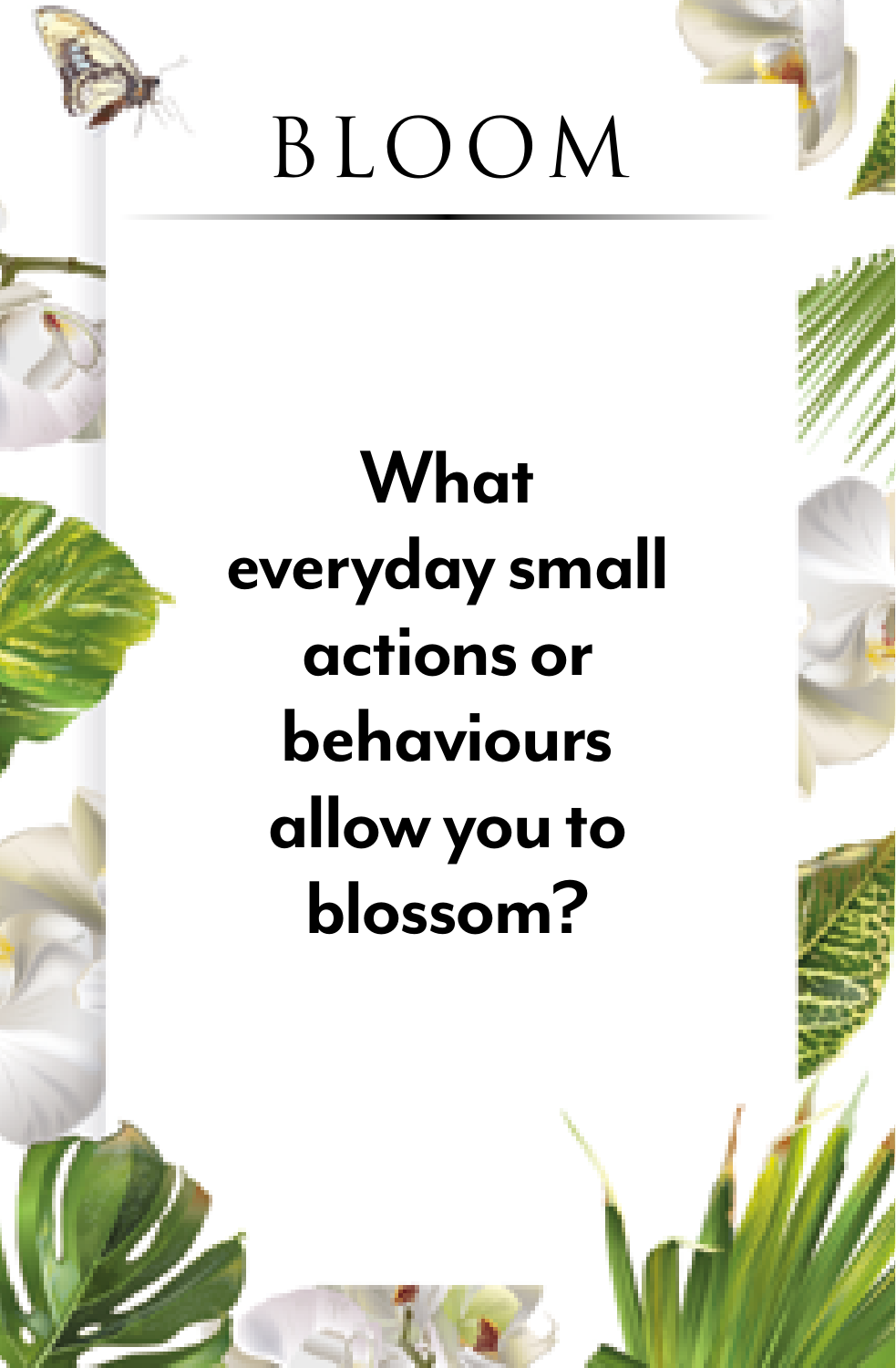

#### **What everyday small actions or behaviours allow you to blossom?**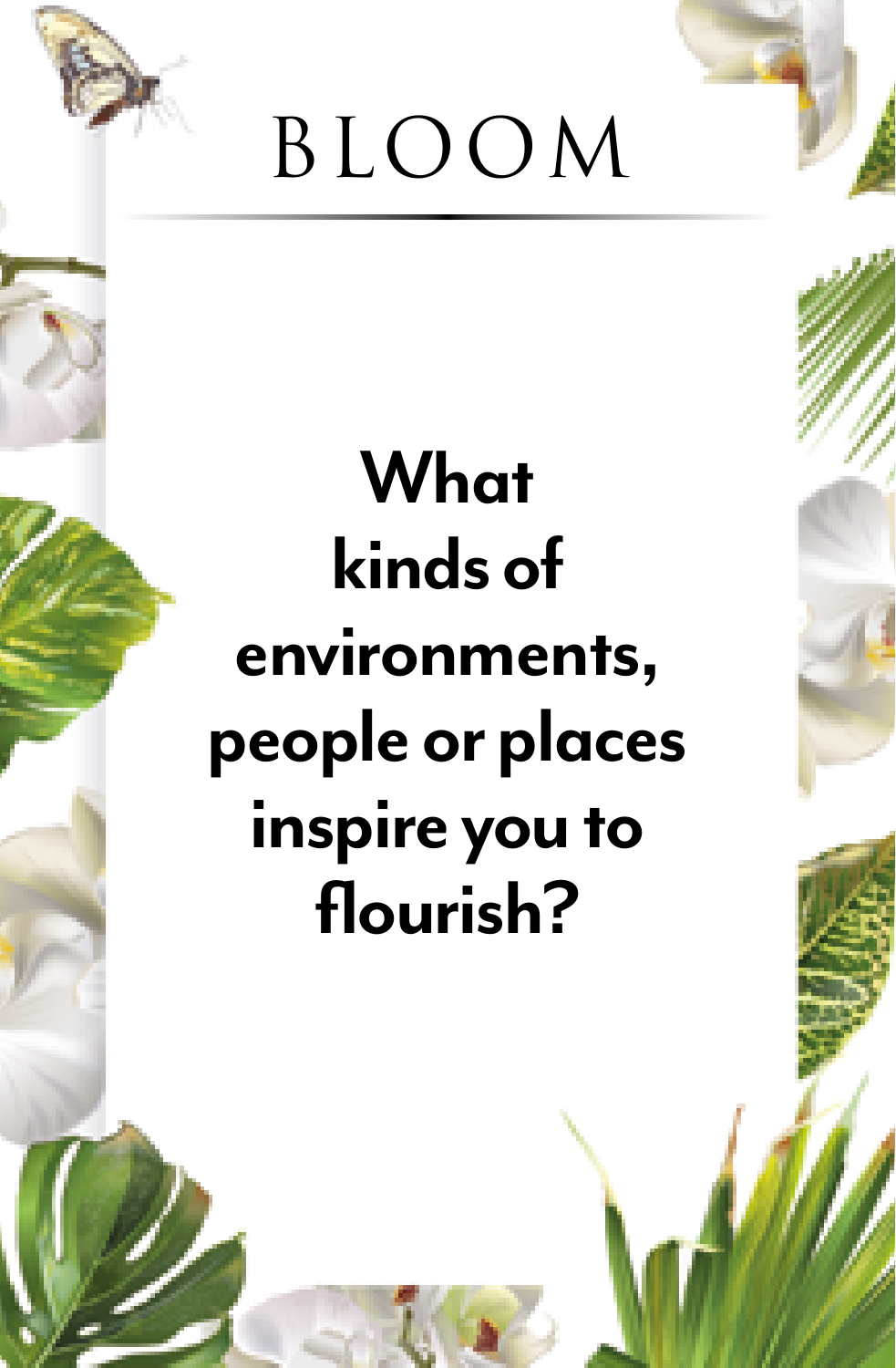

#### **What kinds of environments, people or places inspire you to flourish?**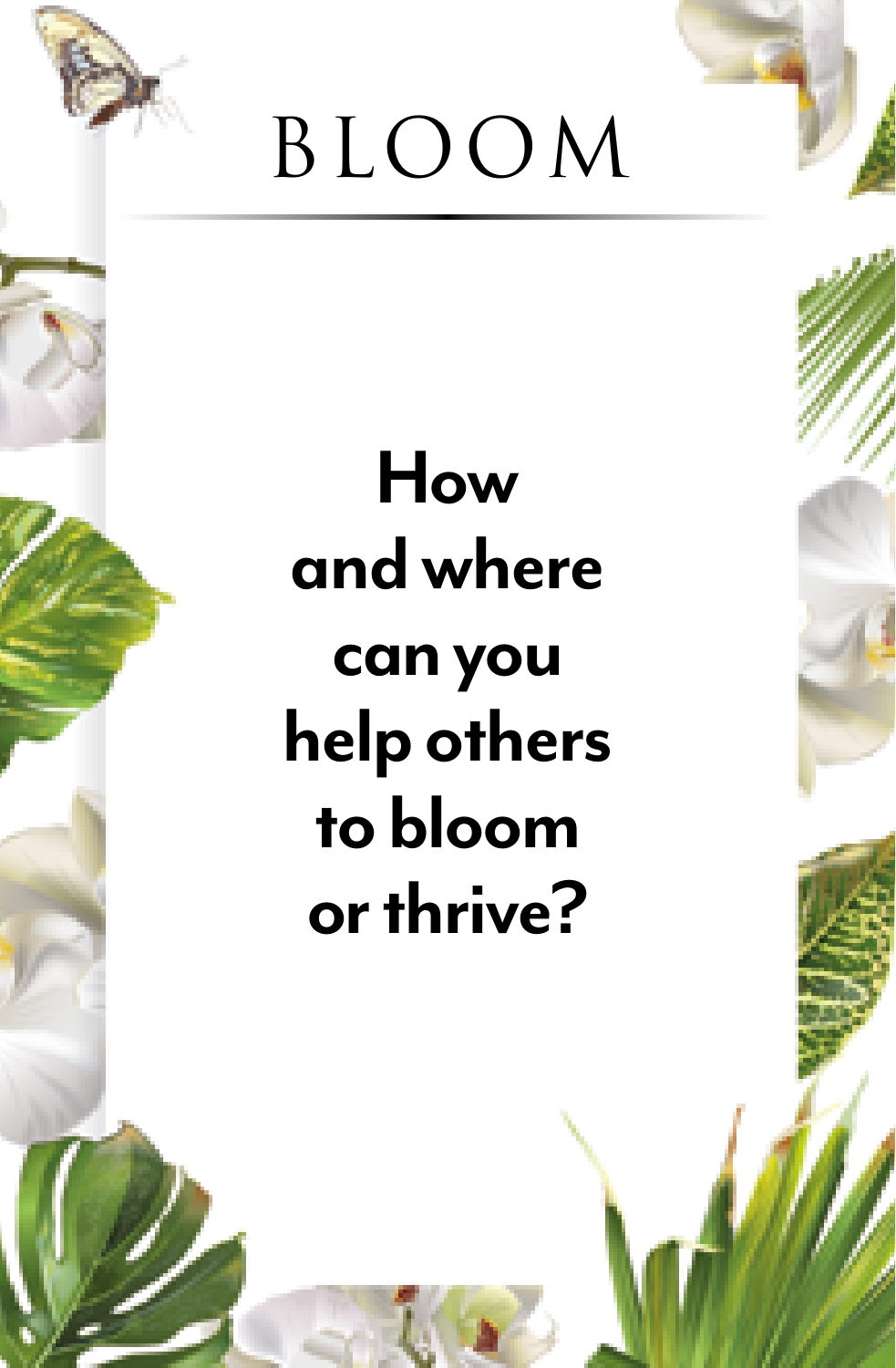

#### **How and where can you help others to bloom or thrive?**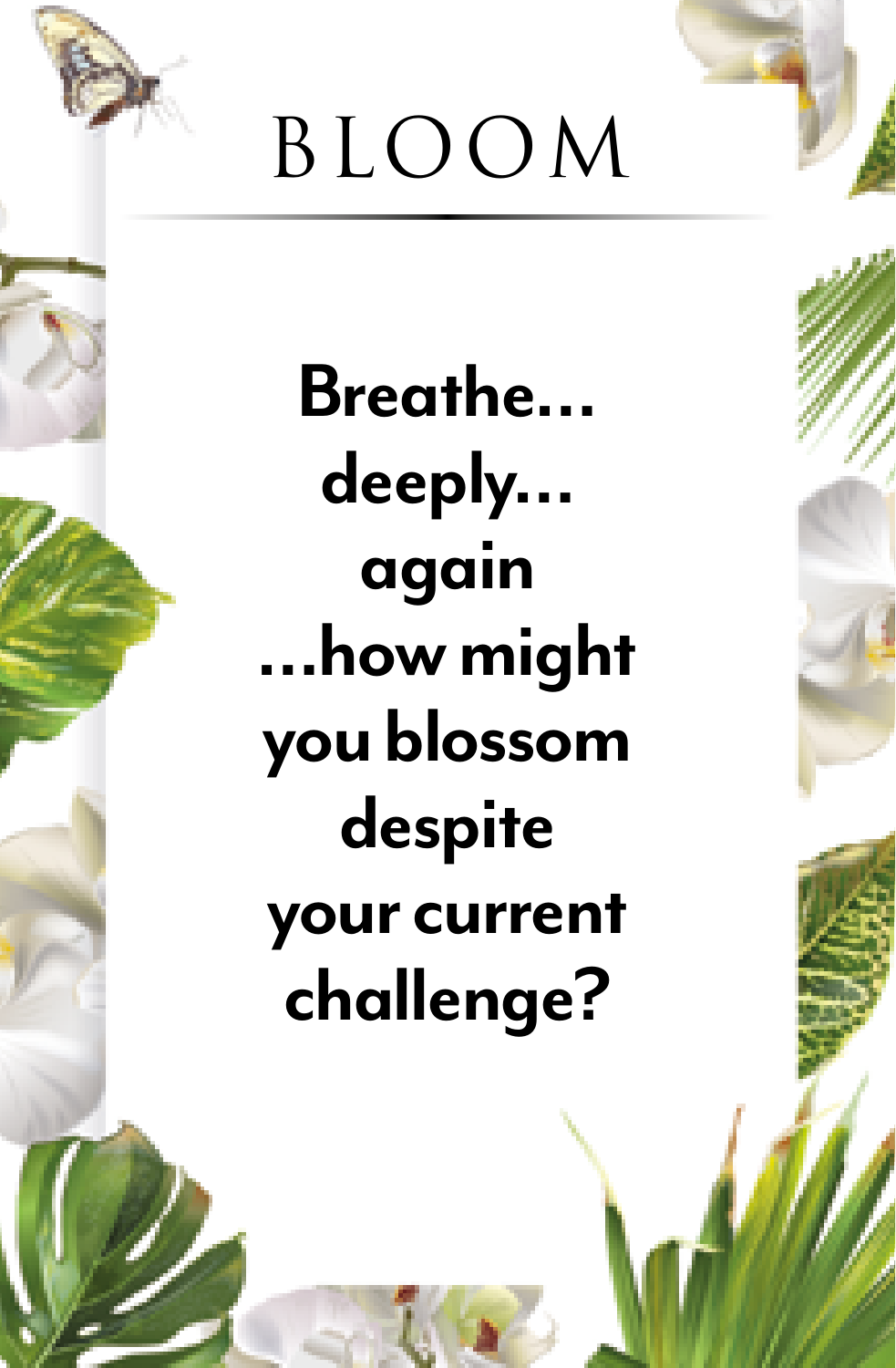

**Breathe… deeply… again …how might you blossom despite your current challenge?**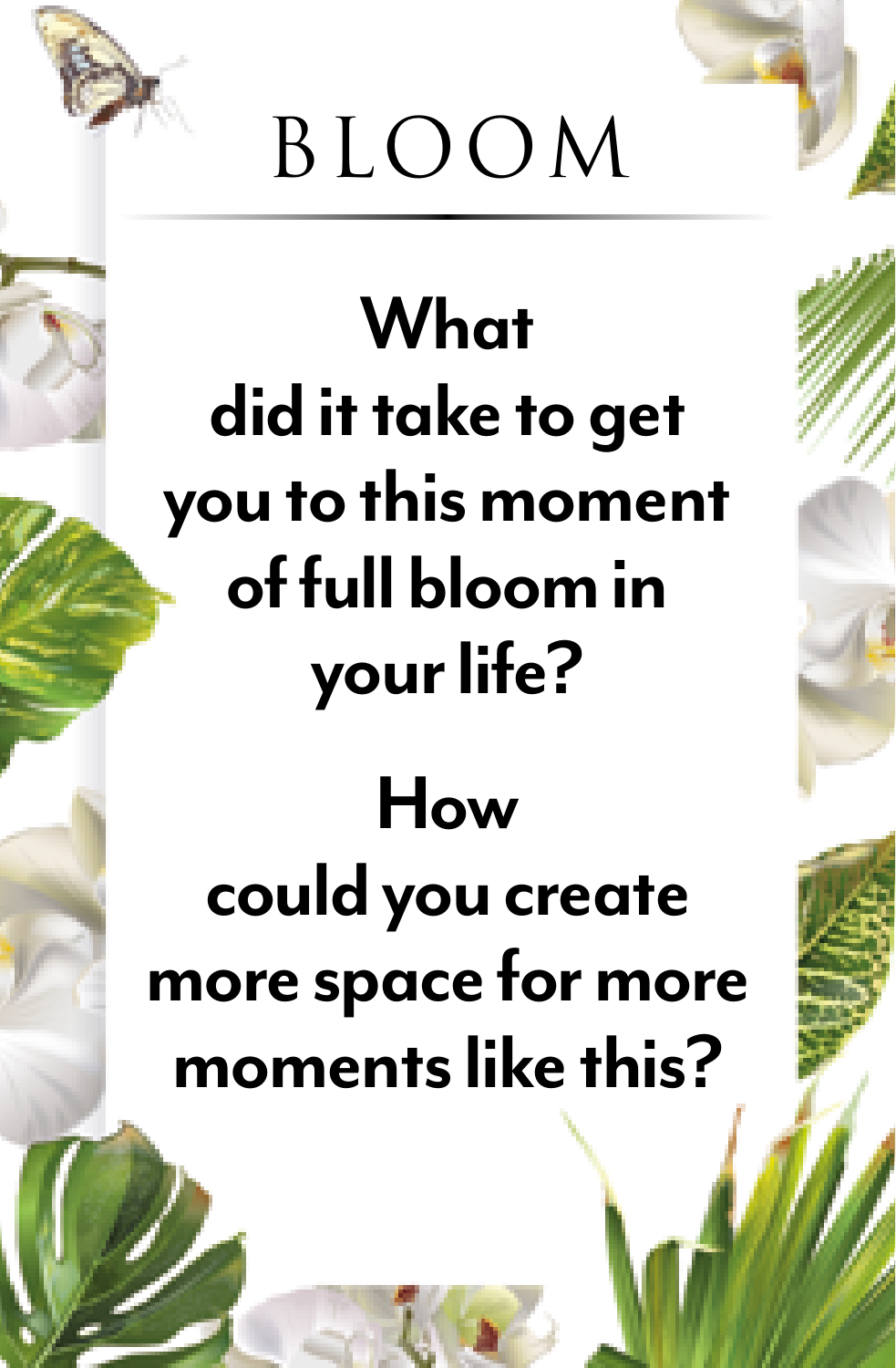

**What did it take to get you to this moment of full bloom in your life?** 

#### **How could you create more space for more moments like this?**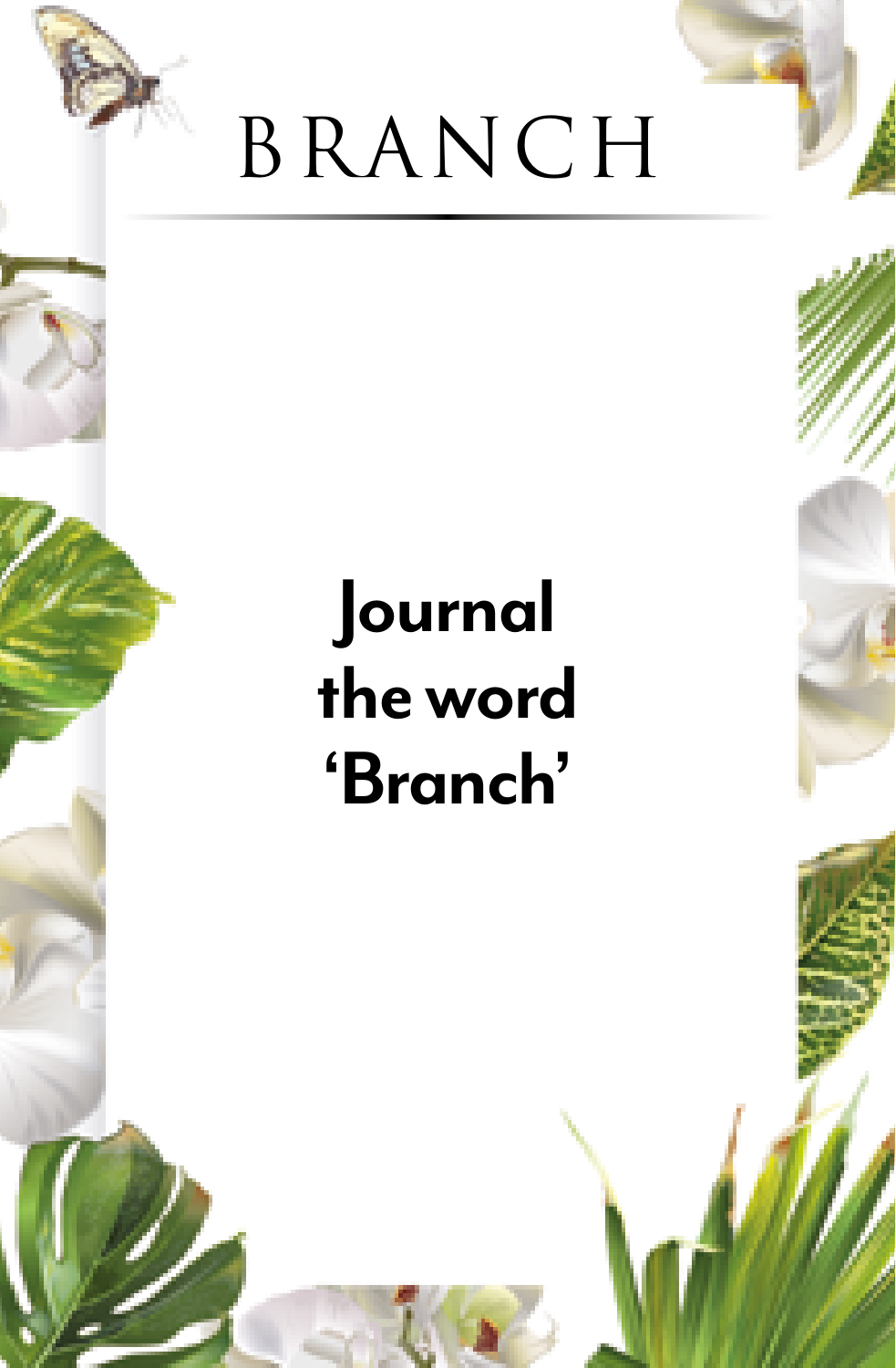

#### **Journal the word 'Branch'**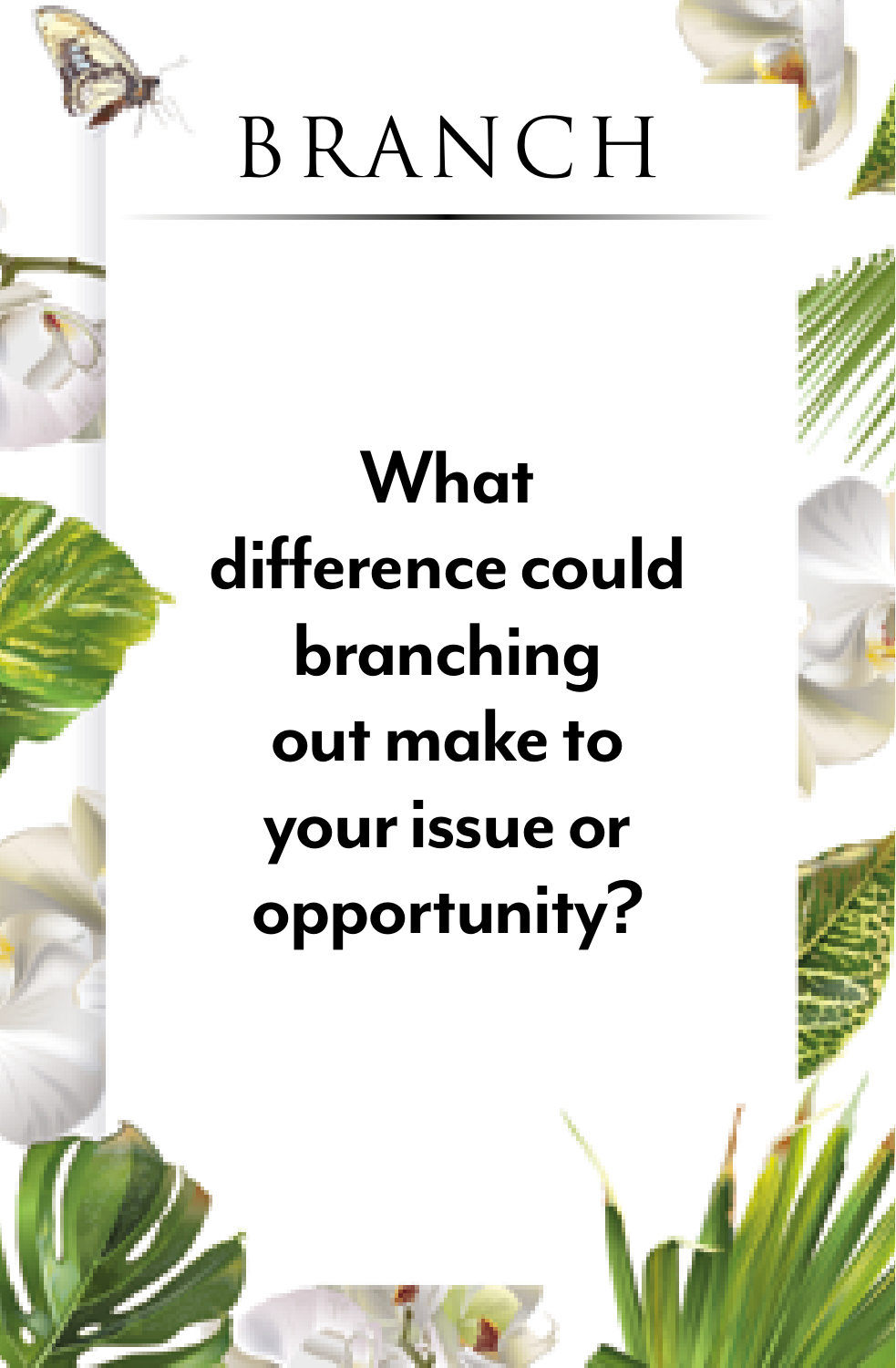

#### **What difference could branching out make to your issue or opportunity?**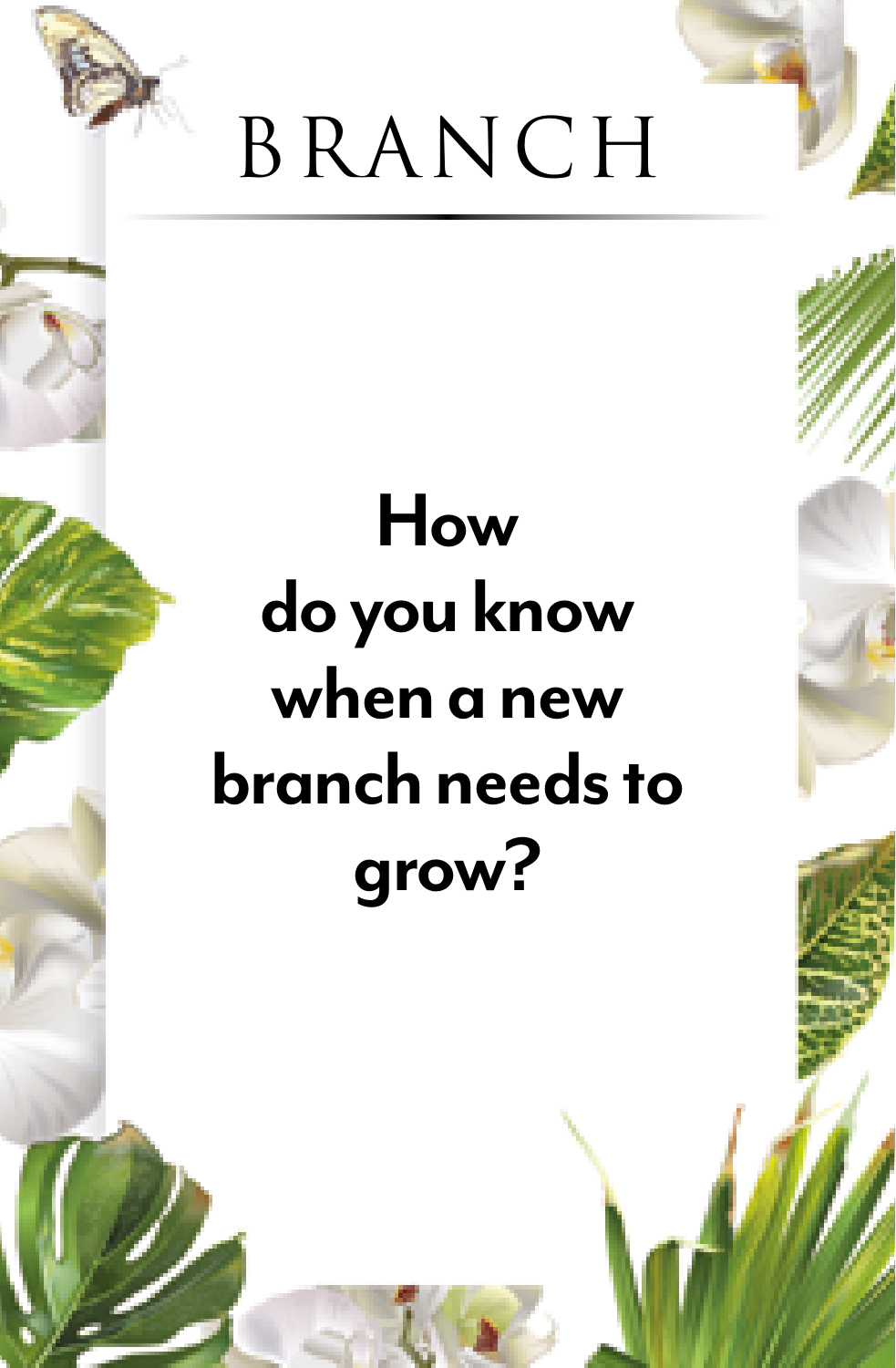

#### **How do you know when a new branch needs to grow?**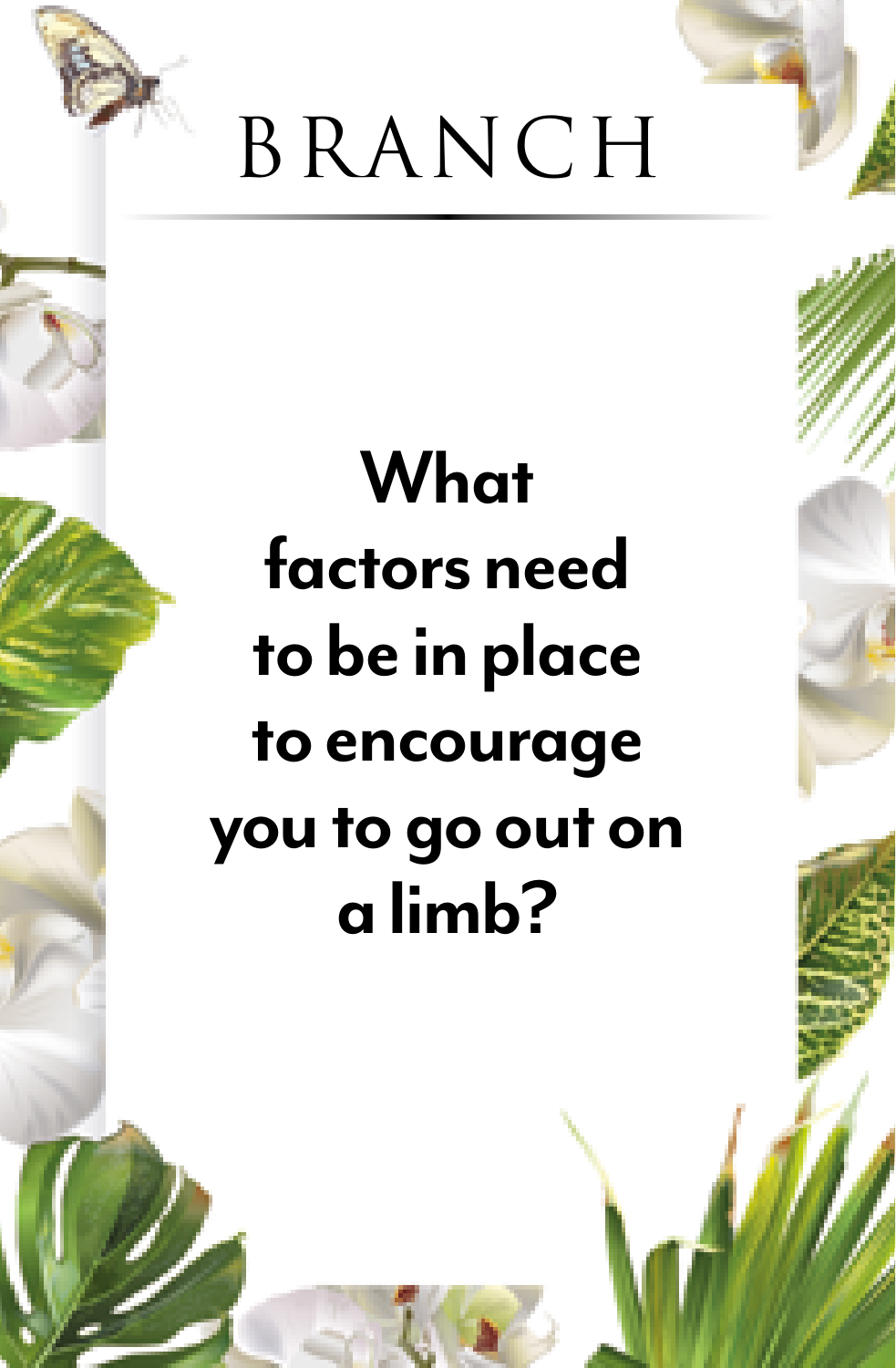

#### **What factors need to be in place to encourage you to go out on a limb?**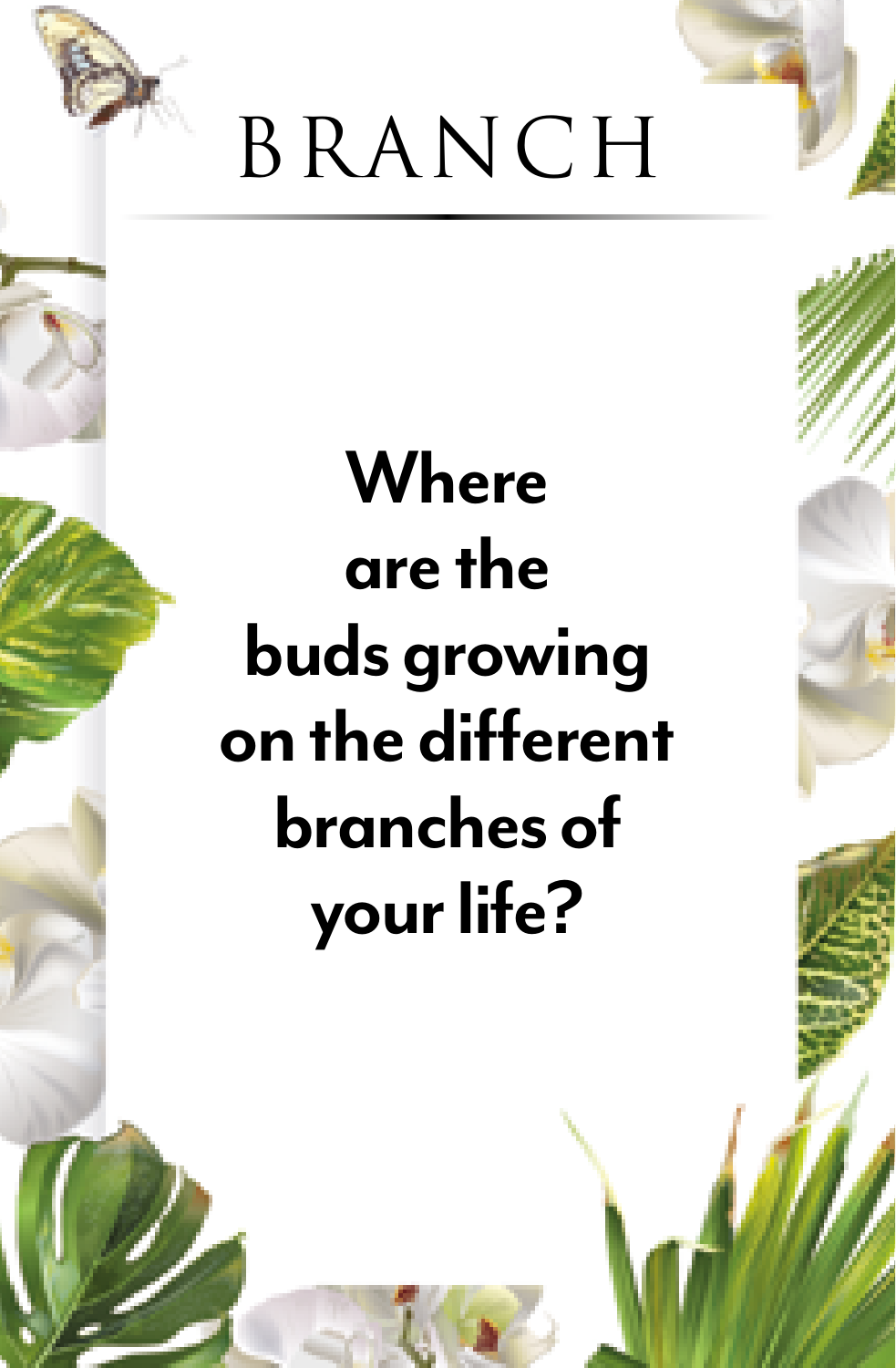

# **Where are the buds growing on the different branches of your life?**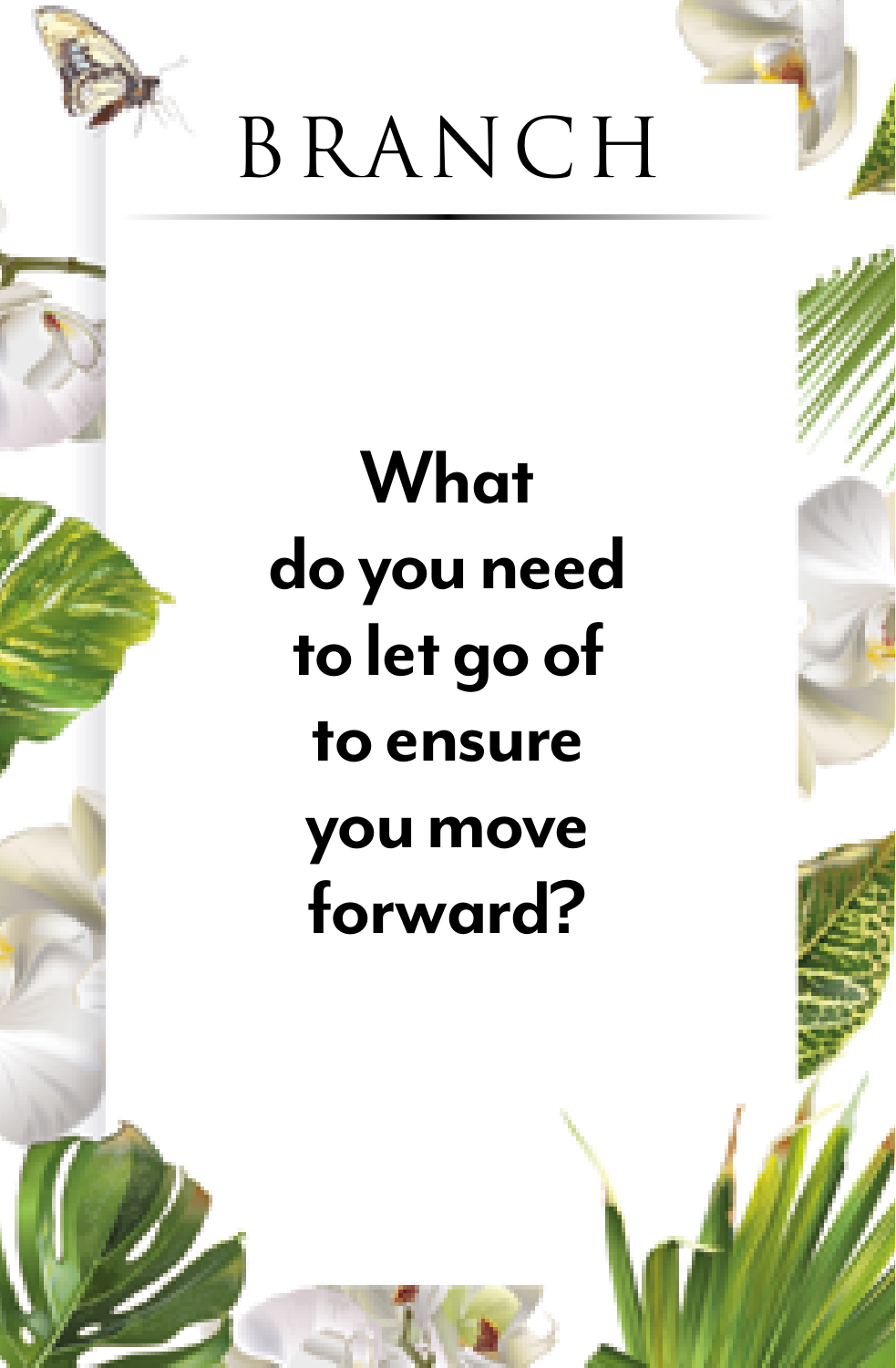

## **What do you need to let go of to ensure you move forward?**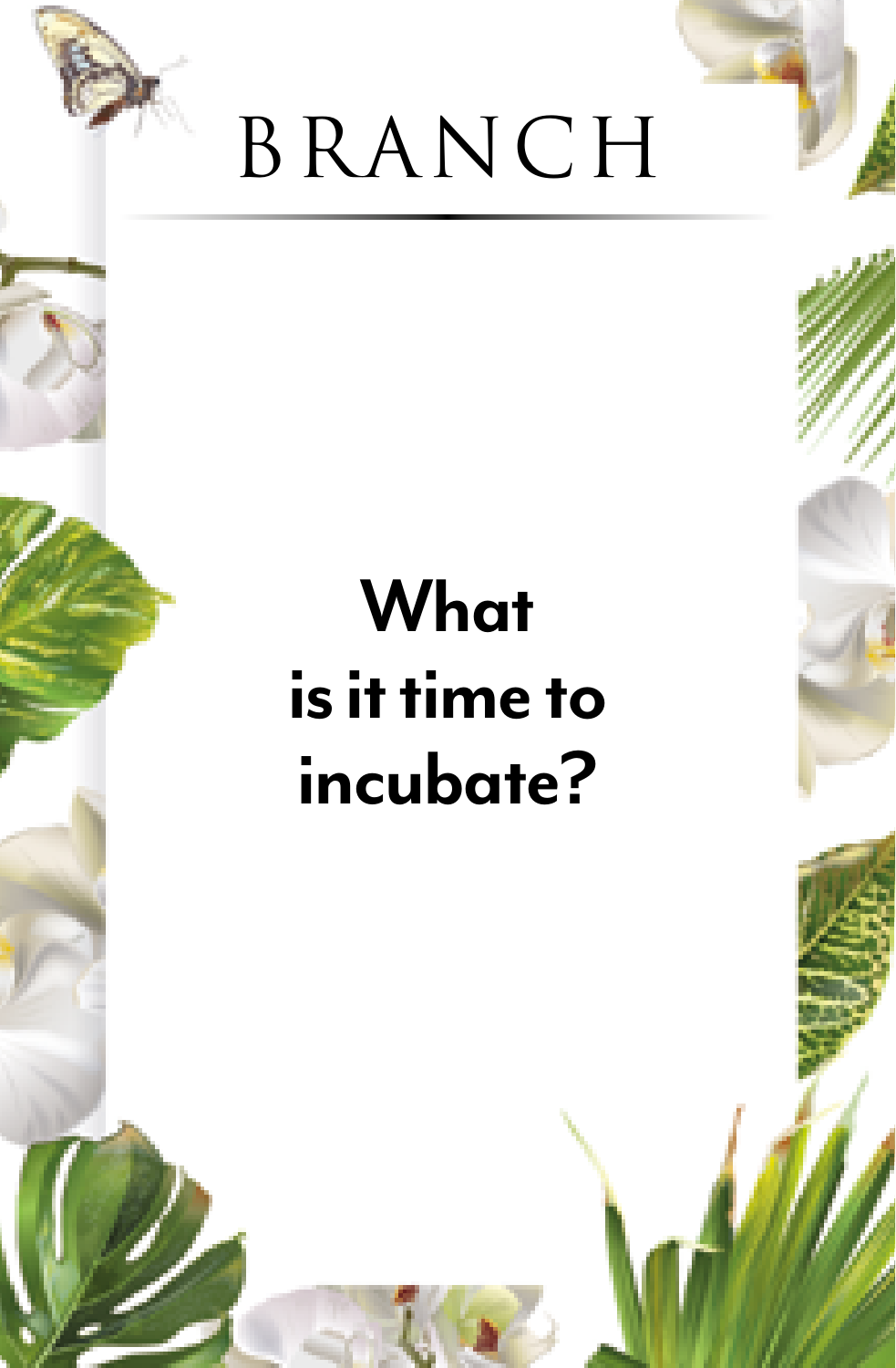

#### **What is it time to incubate?**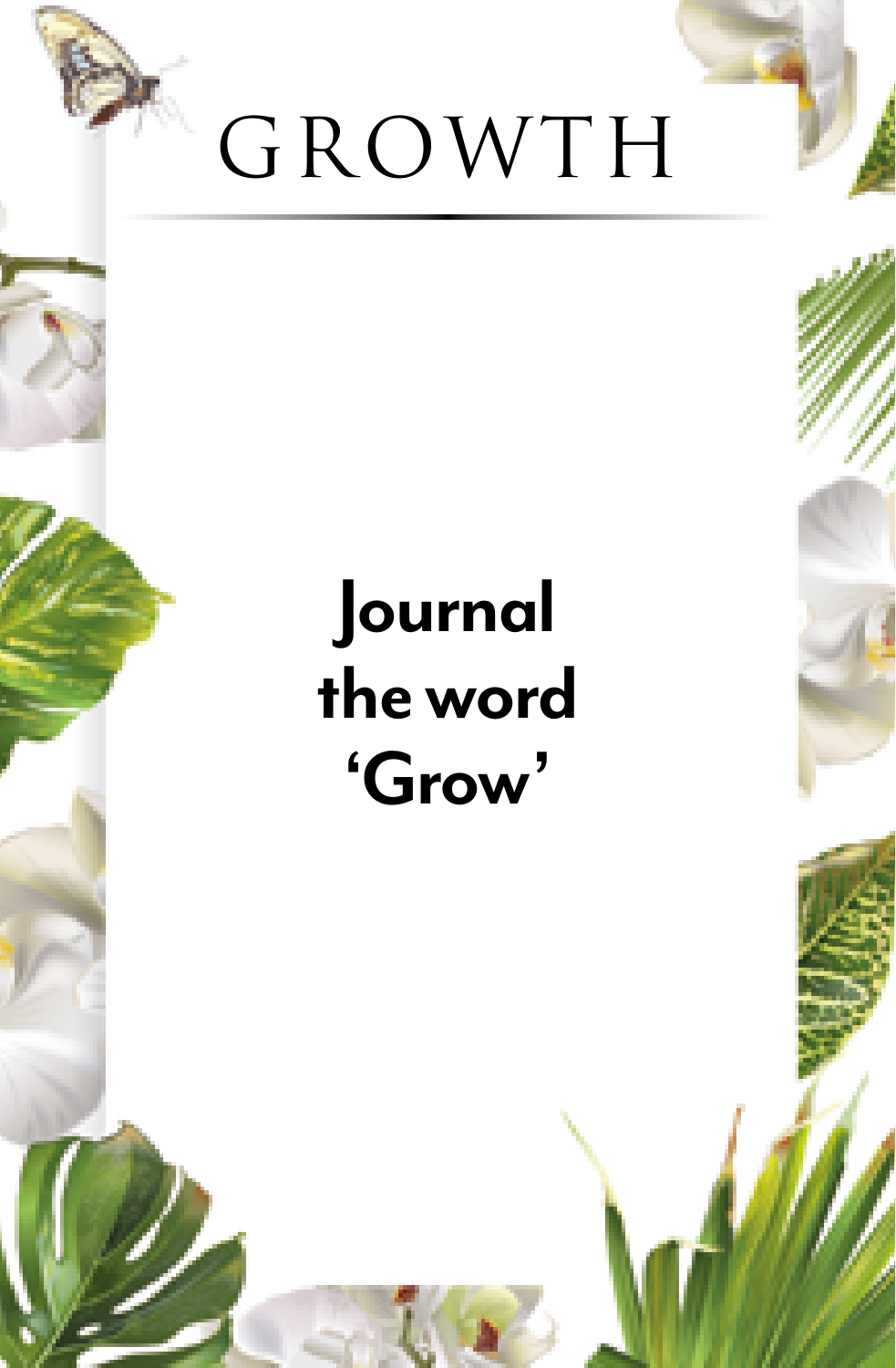

#### **Journal the word 'Grow'**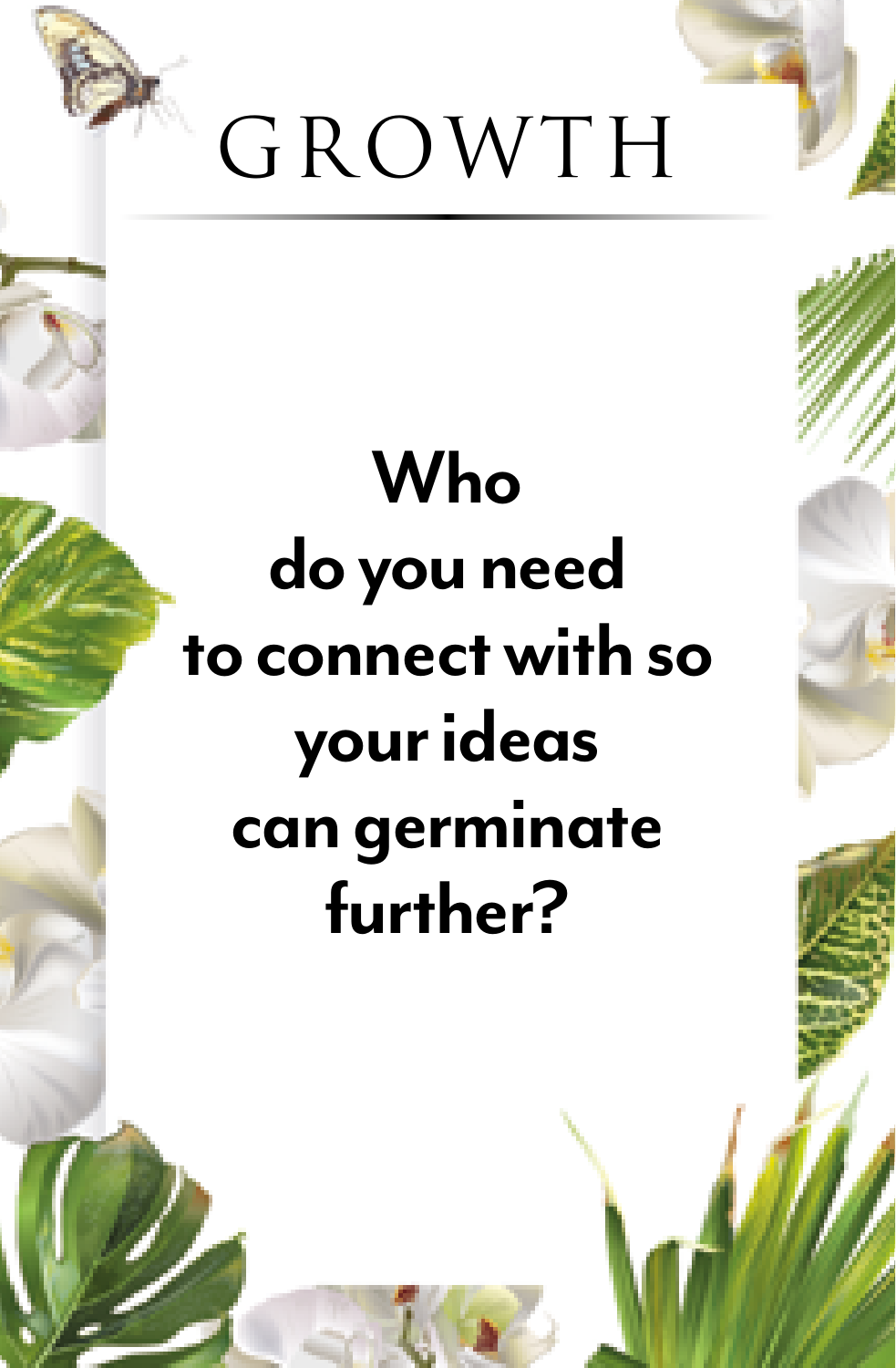

#### **Who do you need to connect with so your ideas can germinate further?**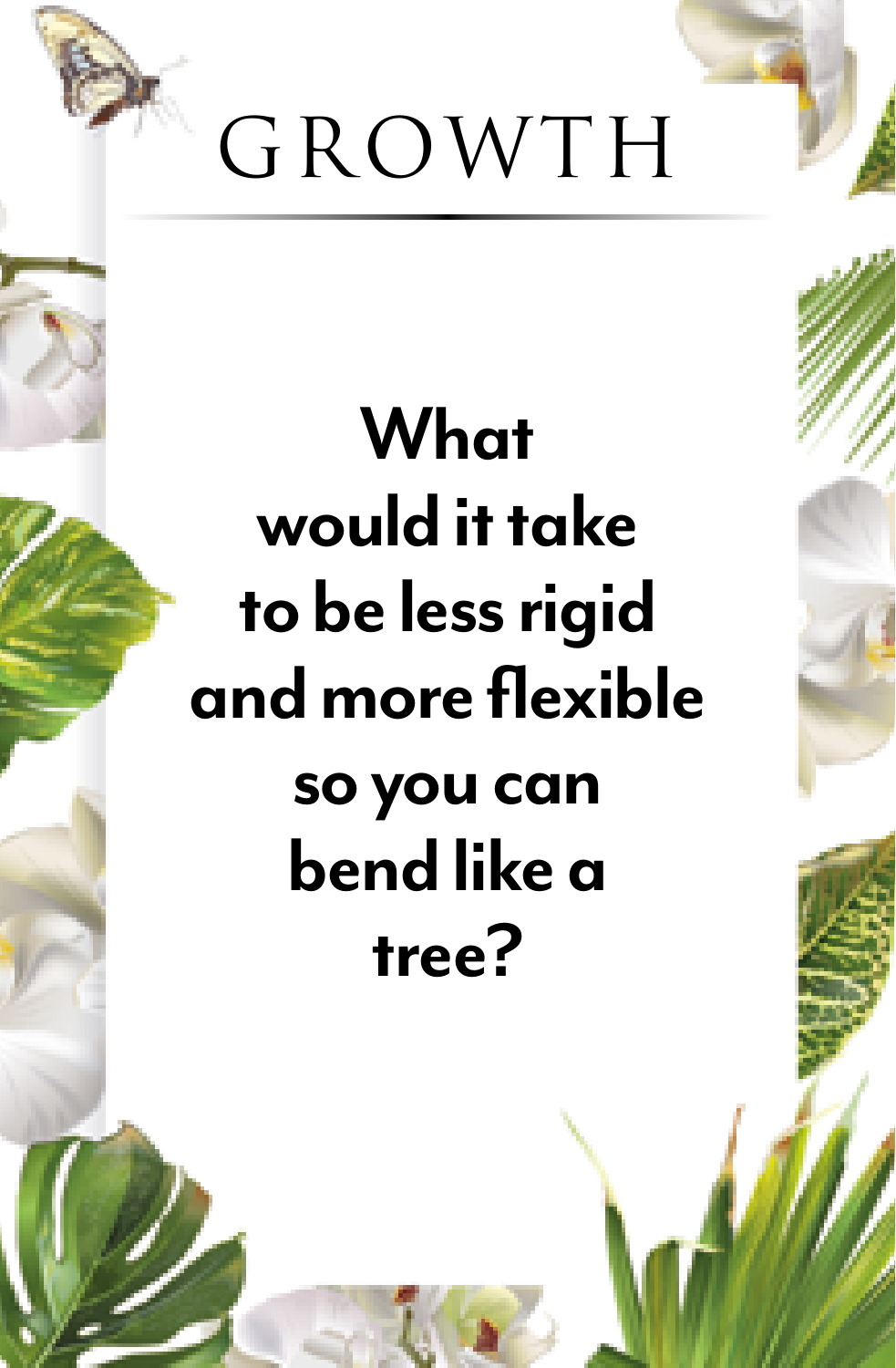

#### **What would it take to be less rigid and more flexible so you can bend like a tree?**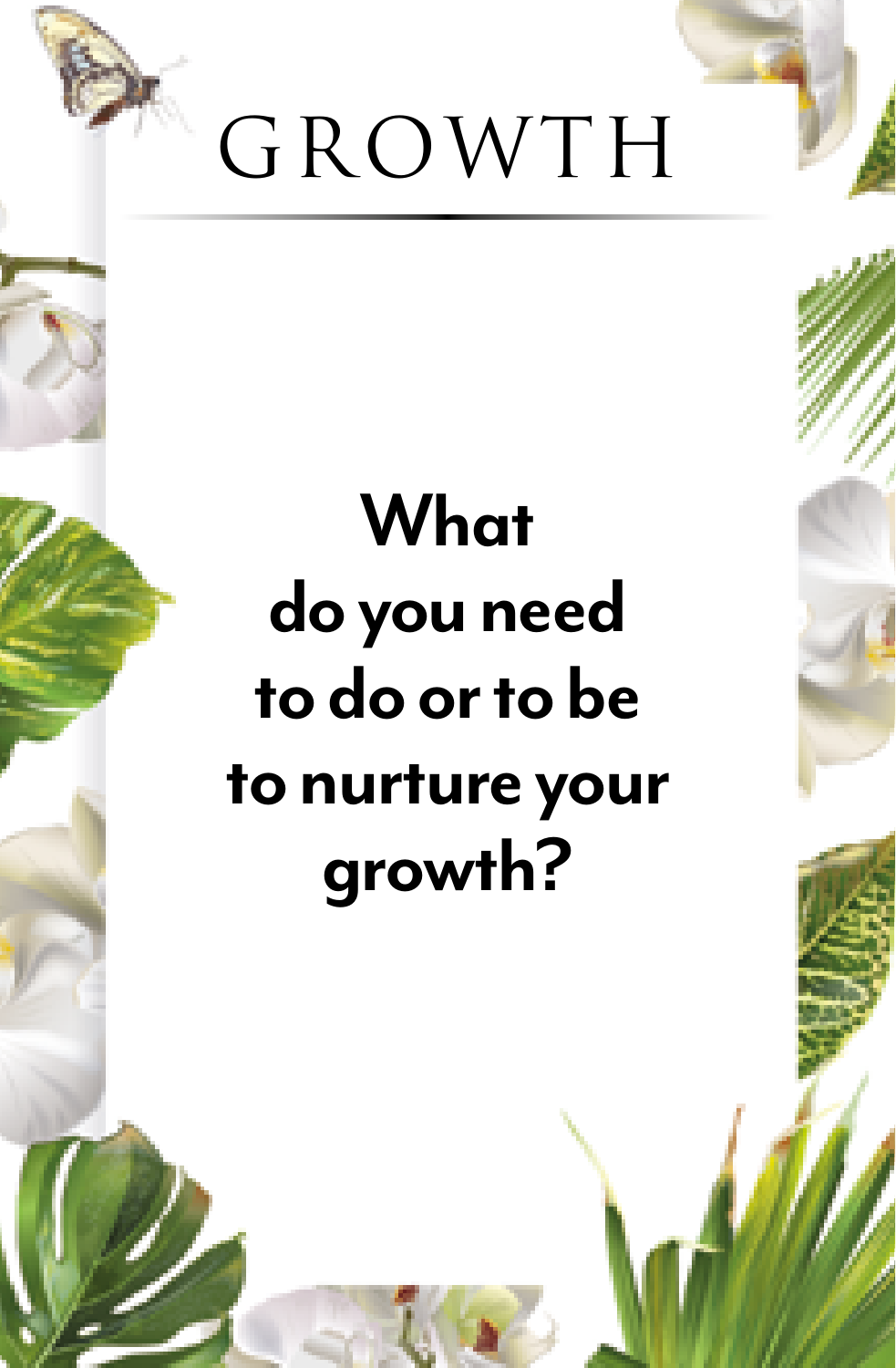

## **What do you need to do or to be to nurture your growth?**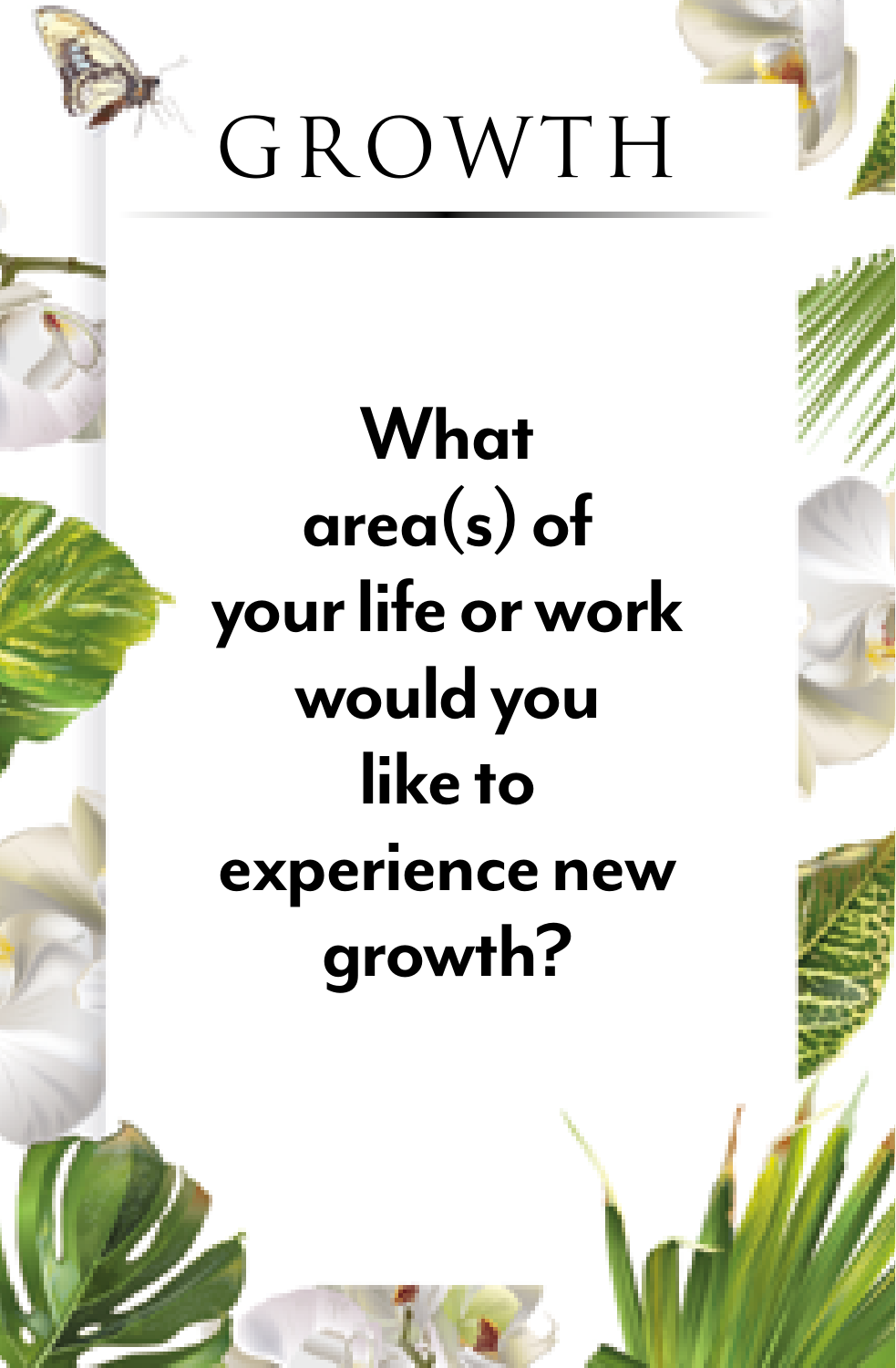

# **What area(s) of your life or work would you like to experience new growth?**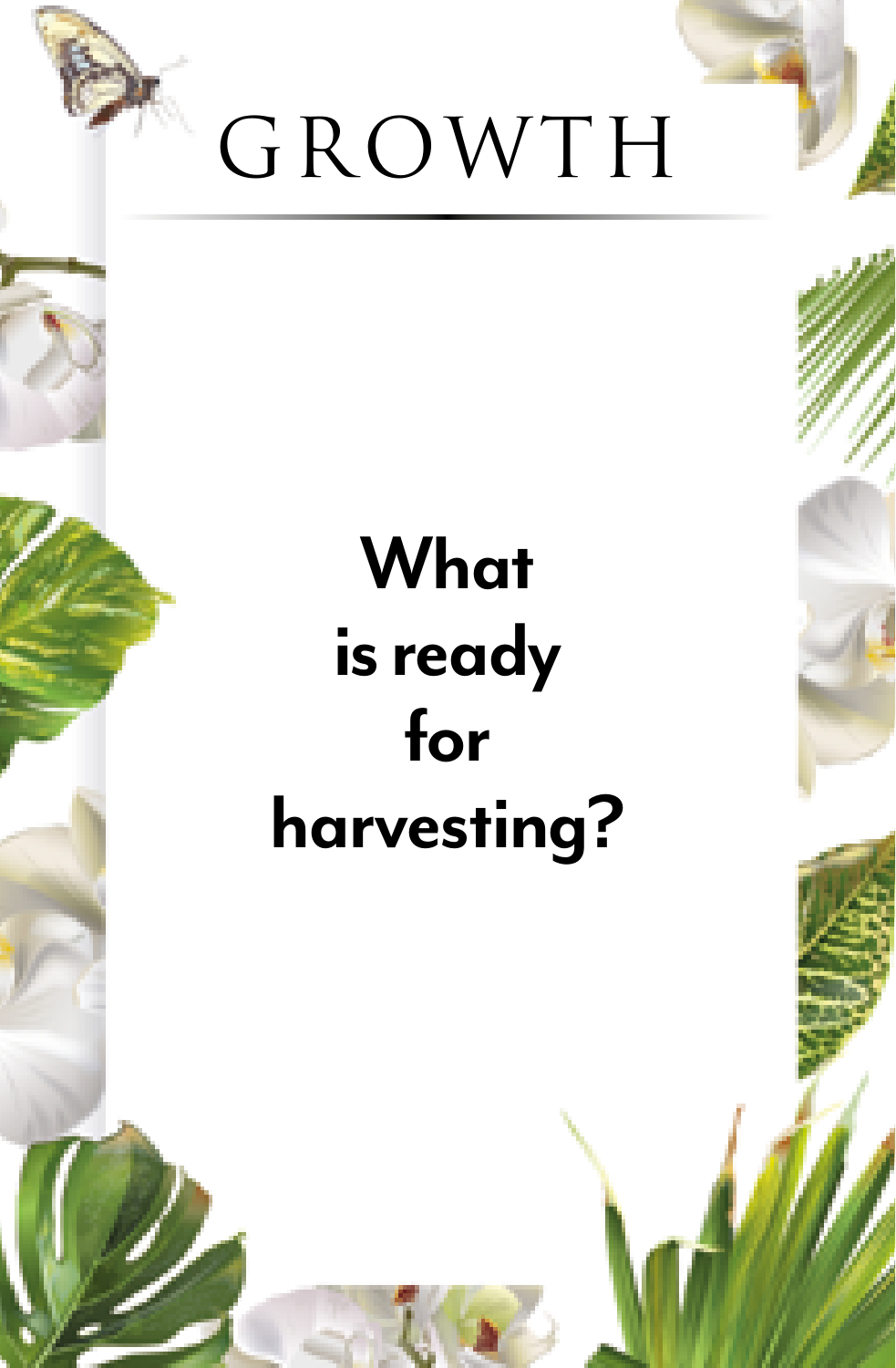

#### **What is ready for harvesting?**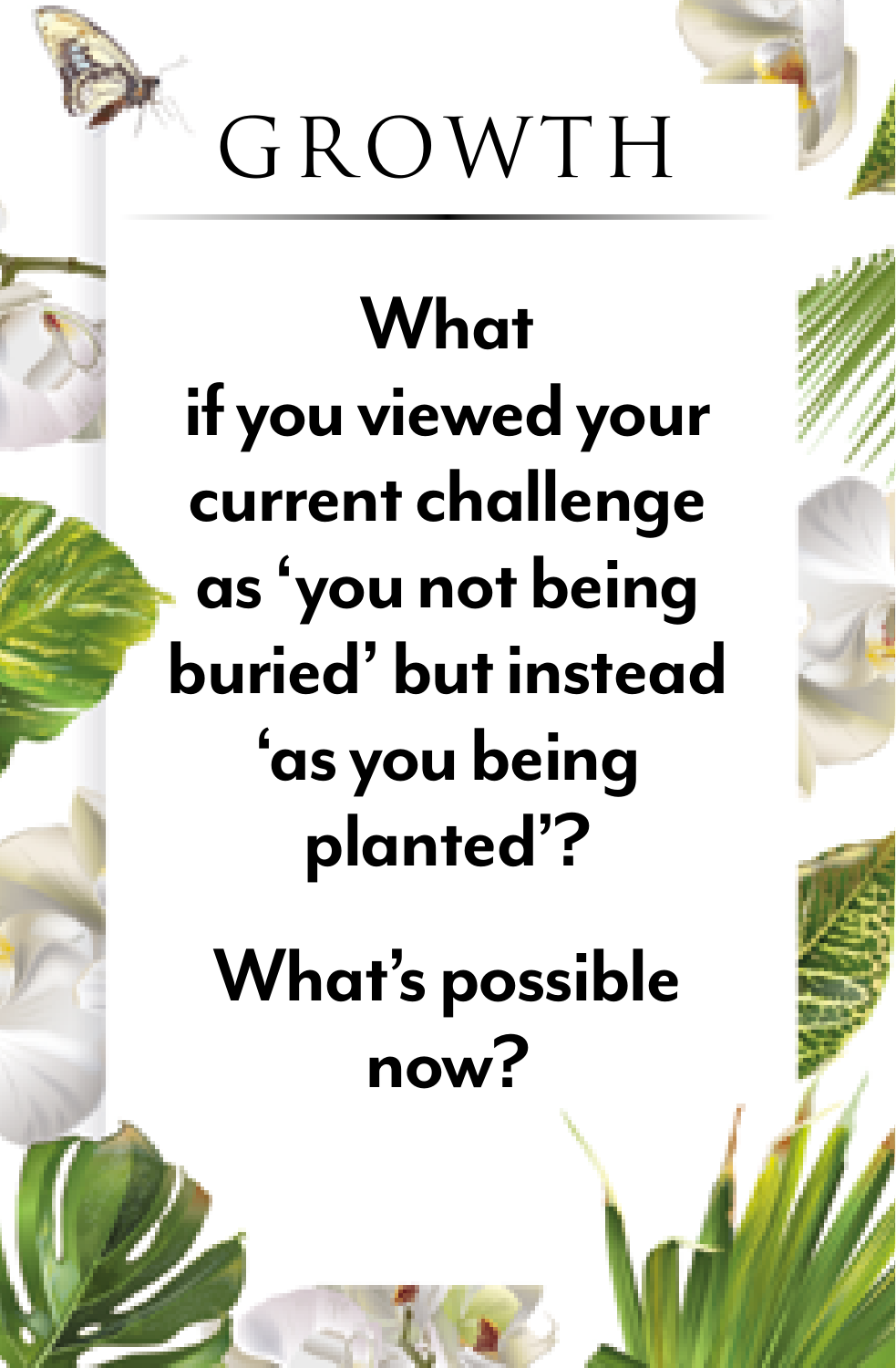

**What if you viewed your current challenge as 'you not being buried' but instead 'as you being planted'?** 

**What's possible now?**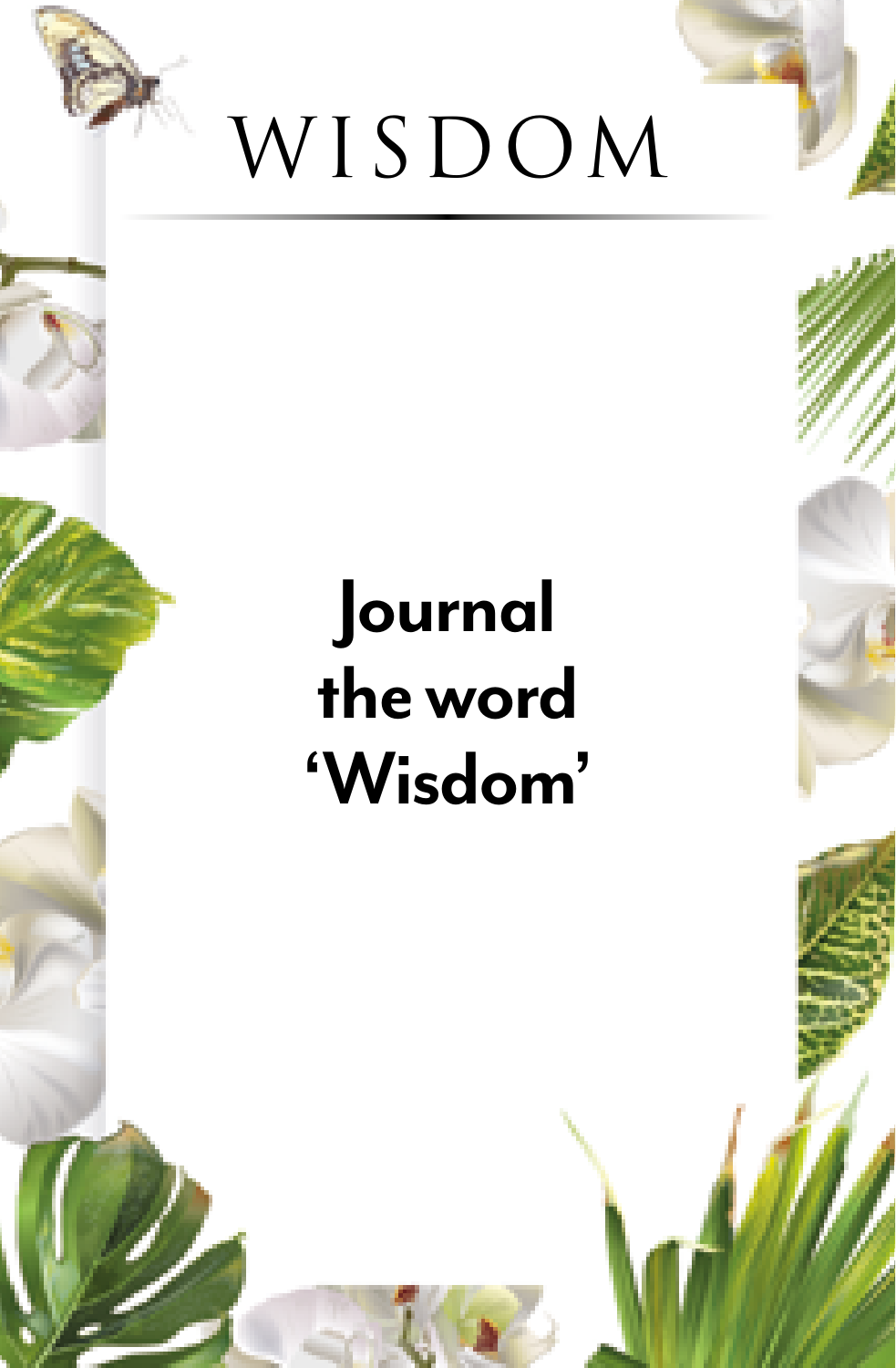

#### **Journal the word 'Wisdom'**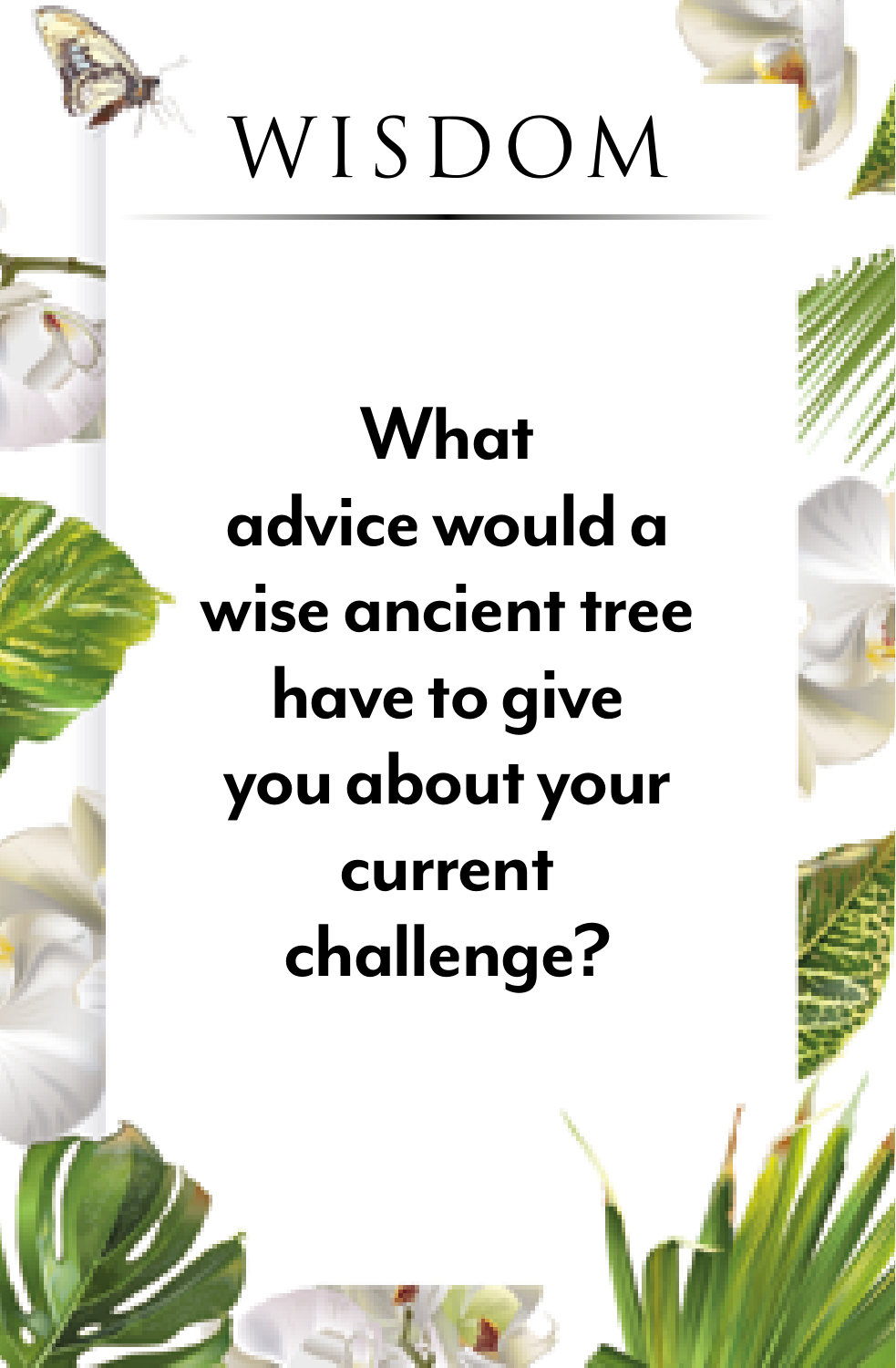

**What advice would a wise ancient tree have to give you about your current challenge?**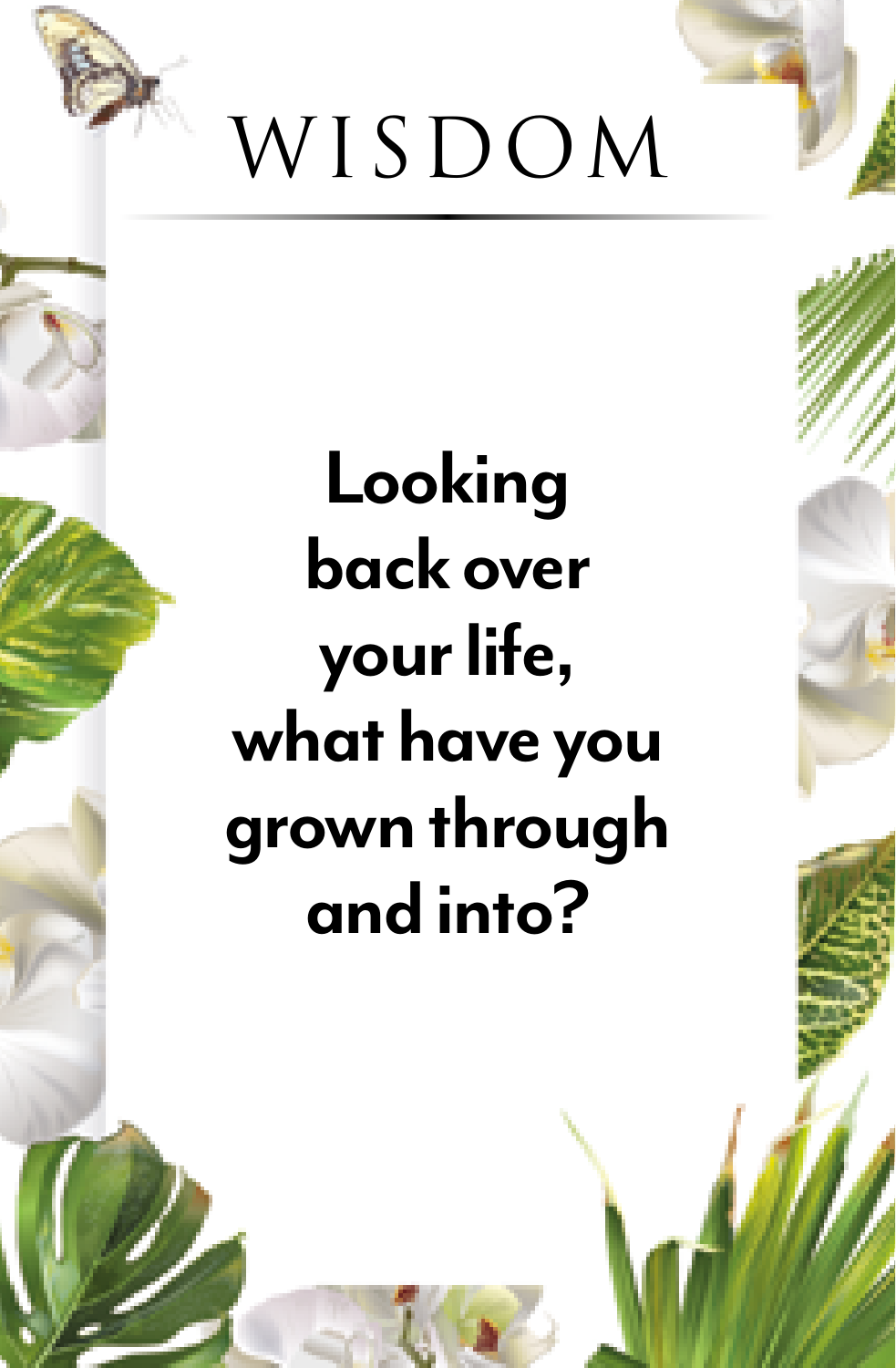

**Looking back over your life, what have you grown through and into?**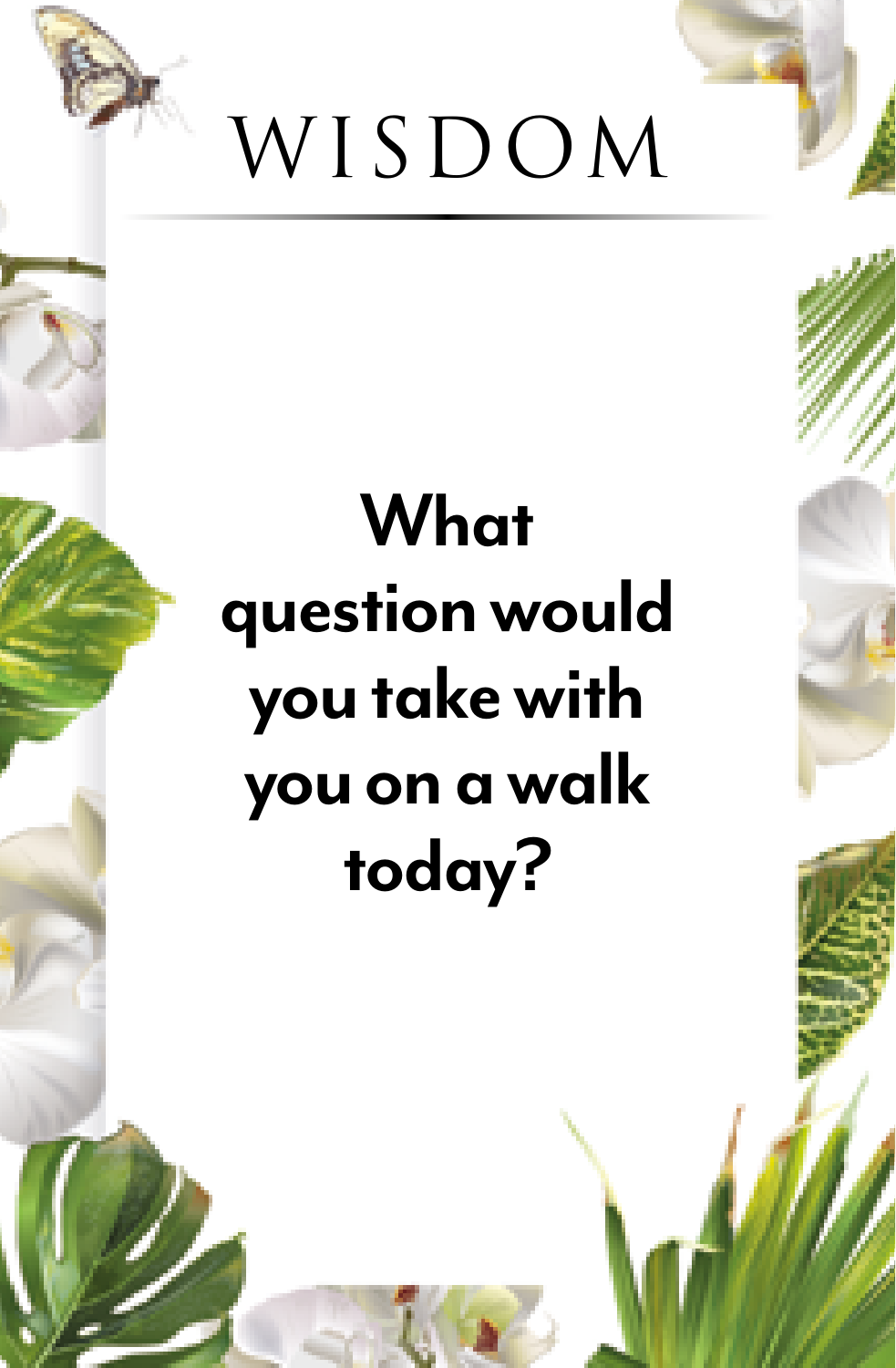

#### **What question would you take with you on a walk today?**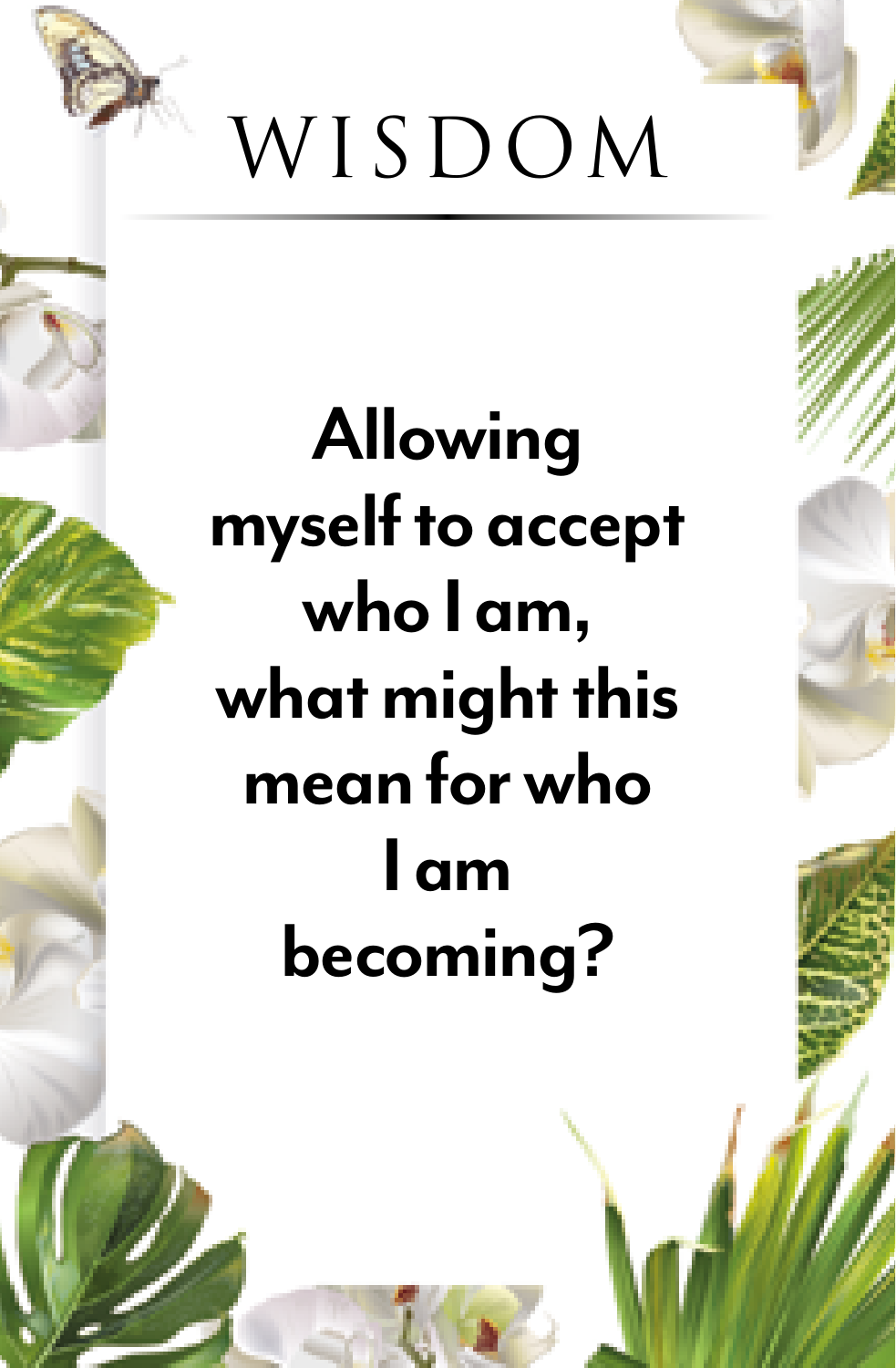

**Allowing myself to accept who I am, what might this mean for who I am becoming?**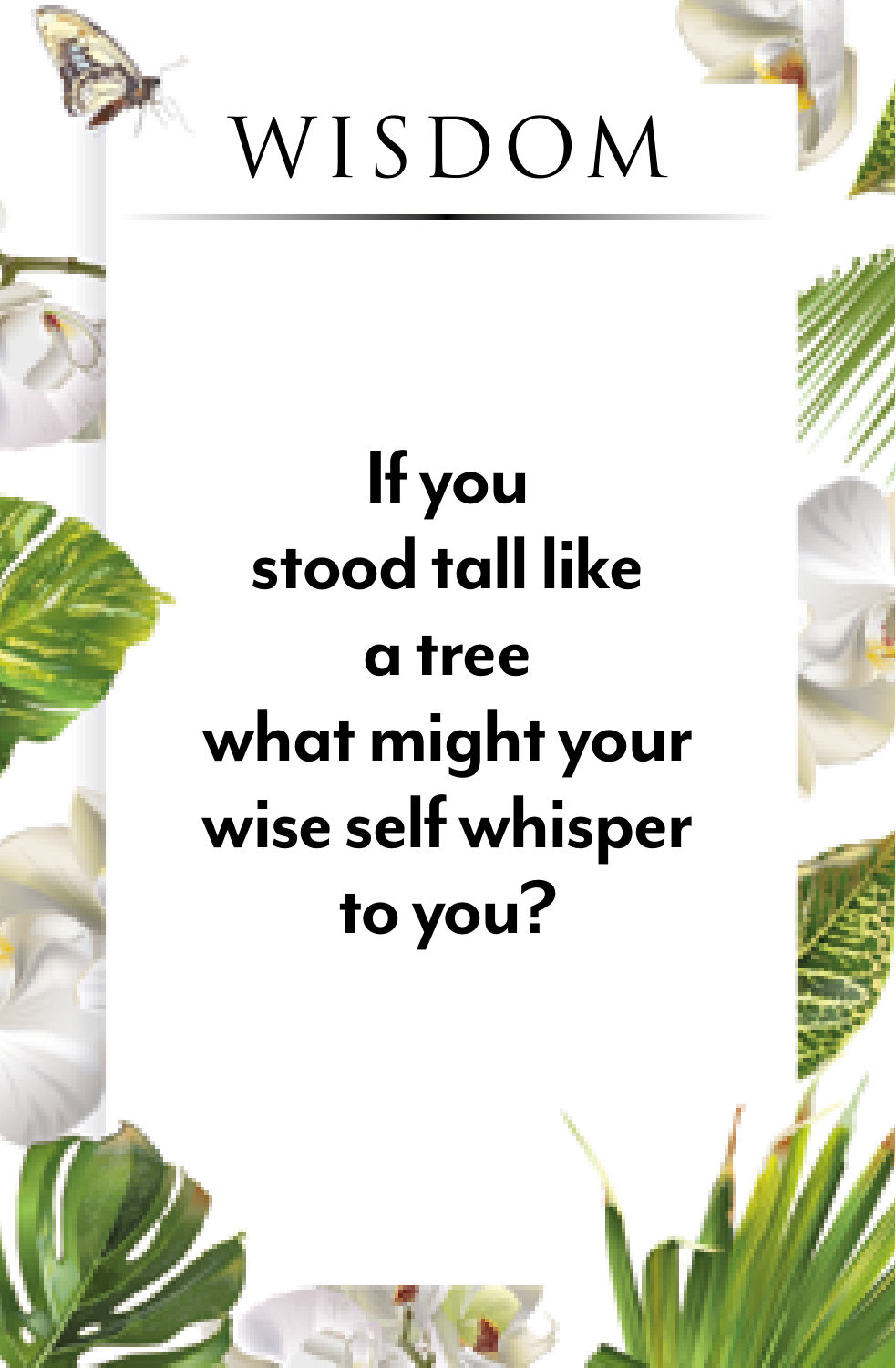

#### **If you stood tall like a tree what might your wise self whisper to you?**